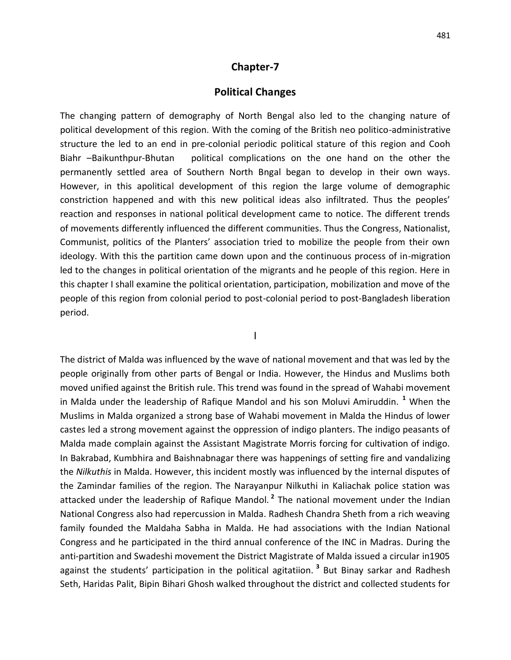## **Chapter-7**

## **Political Changes**

The changing pattern of demography of North Bengal also led to the changing nature of political development of this region. With the coming of the British neo politico-administrative structure the led to an end in pre-colonial periodic political stature of this region and Cooh Biahr –Baikunthpur-Bhutan political complications on the one hand on the other the permanently settled area of Southern North Bngal began to develop in their own ways. However, in this apolitical development of this region the large volume of demographic constriction happened and with this new political ideas also infiltrated. Thus the peoples' reaction and responses in national political development came to notice. The different trends of movements differently influenced the different communities. Thus the Congress, Nationalist, Communist, politics of the Planters' association tried to mobilize the people from their own ideology. With this the partition came down upon and the continuous process of in-migration led to the changes in political orientation of the migrants and he people of this region. Here in this chapter I shall examine the political orientation, participation, mobilization and move of the people of this region from colonial period to post-colonial period to post-Bangladesh liberation period.

I

The district of Malda was influenced by the wave of national movement and that was led by the people originally from other parts of Bengal or India. However, the Hindus and Muslims both moved unified against the British rule. This trend was found in the spread of Wahabi movement in Malda under the leadership of Rafique Mandol and his son Moluvi Amiruddin. **<sup>1</sup>** When the Muslims in Malda organized a strong base of Wahabi movement in Malda the Hindus of lower castes led a strong movement against the oppression of indigo planters. The indigo peasants of Malda made complain against the Assistant Magistrate Morris forcing for cultivation of indigo. In Bakrabad, Kumbhira and Baishnabnagar there was happenings of setting fire and vandalizing the *Nilkuthis* in Malda. However, this incident mostly was influenced by the internal disputes of the Zamindar families of the region. The Narayanpur Nilkuthi in Kaliachak police station was attacked under the leadership of Rafique Mandol. **<sup>2</sup>** The national movement under the Indian National Congress also had repercussion in Malda. Radhesh Chandra Sheth from a rich weaving family founded the Maldaha Sabha in Malda. He had associations with the Indian National Congress and he participated in the third annual conference of the INC in Madras. During the anti-partition and Swadeshi movement the District Magistrate of Malda issued a circular in1905 against the students' participation in the political agitatiion. **<sup>3</sup>** But Binay sarkar and Radhesh Seth, Haridas Palit, Bipin Bihari Ghosh walked throughout the district and collected students for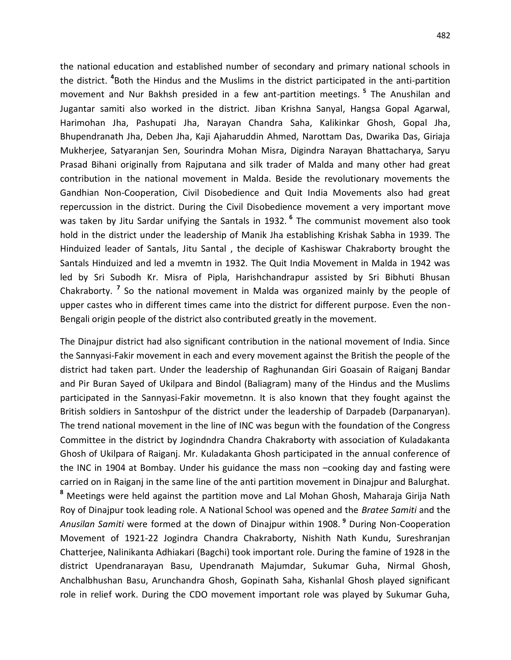the national education and established number of secondary and primary national schools in the district. **<sup>4</sup>** Both the Hindus and the Muslims in the district participated in the anti-partition movement and Nur Bakhsh presided in a few ant-partition meetings. **<sup>5</sup>** The Anushilan and Jugantar samiti also worked in the district. Jiban Krishna Sanyal, Hangsa Gopal Agarwal, Harimohan Jha, Pashupati Jha, Narayan Chandra Saha, Kalikinkar Ghosh, Gopal Jha, Bhupendranath Jha, Deben Jha, Kaji Ajaharuddin Ahmed, Narottam Das, Dwarika Das, Giriaja Mukherjee, Satyaranjan Sen, Sourindra Mohan Misra, Digindra Narayan Bhattacharya, Saryu Prasad Bihani originally from Rajputana and silk trader of Malda and many other had great contribution in the national movement in Malda. Beside the revolutionary movements the Gandhian Non-Cooperation, Civil Disobedience and Quit India Movements also had great repercussion in the district. During the Civil Disobedience movement a very important move was taken by Jitu Sardar unifying the Santals in 1932. **<sup>6</sup>** The communist movement also took hold in the district under the leadership of Manik Jha establishing Krishak Sabha in 1939. The Hinduized leader of Santals, Jitu Santal , the deciple of Kashiswar Chakraborty brought the Santals Hinduized and led a mvemtn in 1932. The Quit India Movement in Malda in 1942 was led by Sri Subodh Kr. Misra of Pipla, Harishchandrapur assisted by Sri Bibhuti Bhusan Chakraborty. **<sup>7</sup>** So the national movement in Malda was organized mainly by the people of upper castes who in different times came into the district for different purpose. Even the non-Bengali origin people of the district also contributed greatly in the movement.

The Dinajpur district had also significant contribution in the national movement of India. Since the Sannyasi-Fakir movement in each and every movement against the British the people of the district had taken part. Under the leadership of Raghunandan Giri Goasain of Raiganj Bandar and Pir Buran Sayed of Ukilpara and Bindol (Baliagram) many of the Hindus and the Muslims participated in the Sannyasi-Fakir movemetnn. It is also known that they fought against the British soldiers in Santoshpur of the district under the leadership of Darpadeb (Darpanaryan). The trend national movement in the line of INC was begun with the foundation of the Congress Committee in the district by Jogindndra Chandra Chakraborty with association of Kuladakanta Ghosh of Ukilpara of Raiganj. Mr. Kuladakanta Ghosh participated in the annual conference of the INC in 1904 at Bombay. Under his guidance the mass non –cooking day and fasting were carried on in Raiganj in the same line of the anti partition movement in Dinajpur and Balurghat. **<sup>8</sup>** Meetings were held against the partition move and Lal Mohan Ghosh, Maharaja Girija Nath Roy of Dinajpur took leading role. A National School was opened and the *Bratee Samiti* and the *Anusilan Samiti* were formed at the down of Dinajpur within 1908. **<sup>9</sup>** During Non-Cooperation Movement of 1921-22 Jogindra Chandra Chakraborty, Nishith Nath Kundu, Sureshranjan Chatterjee, Nalinikanta Adhiakari (Bagchi) took important role. During the famine of 1928 in the district Upendranarayan Basu, Upendranath Majumdar, Sukumar Guha, Nirmal Ghosh, Anchalbhushan Basu, Arunchandra Ghosh, Gopinath Saha, Kishanlal Ghosh played significant role in relief work. During the CDO movement important role was played by Sukumar Guha,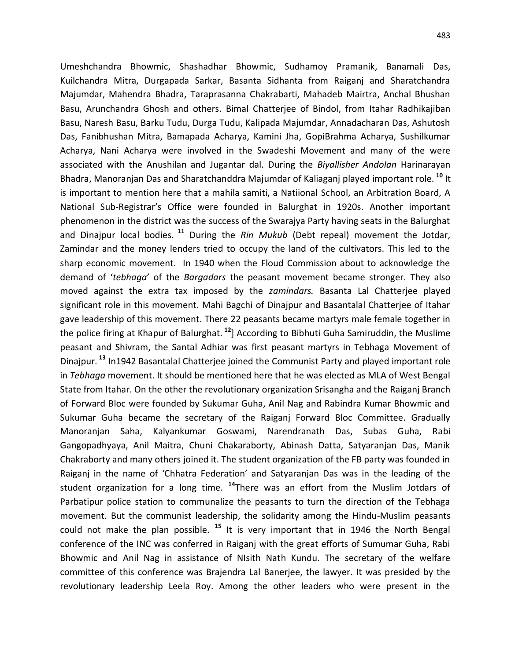Umeshchandra Bhowmic, Shashadhar Bhowmic, Sudhamoy Pramanik, Banamali Das, Kuilchandra Mitra, Durgapada Sarkar, Basanta Sidhanta from Raiganj and Sharatchandra Majumdar, Mahendra Bhadra, Taraprasanna Chakrabarti, Mahadeb Mairtra, Anchal Bhushan Basu, Arunchandra Ghosh and others. Bimal Chatterjee of Bindol, from Itahar Radhikajiban Basu, Naresh Basu, Barku Tudu, Durga Tudu, Kalipada Majumdar, Annadacharan Das, Ashutosh Das, Fanibhushan Mitra, Bamapada Acharya, Kamini Jha, GopiBrahma Acharya, Sushilkumar Acharya, Nani Acharya were involved in the Swadeshi Movement and many of the were associated with the Anushilan and Jugantar dal. During the *Biyallisher Andolan* Harinarayan Bhadra, Manoranjan Das and Sharatchanddra Majumdar of Kaliaganj played important role. **<sup>10</sup>** It is important to mention here that a mahila samiti, a Natiional School, an Arbitration Board, A National Sub-Registrar's Office were founded in Balurghat in 1920s. Another important phenomenon in the district was the success of the Swarajya Party having seats in the Balurghat and Dinajpur local bodies. **<sup>11</sup>** During the *Rin Mukub* (Debt repeal) movement the Jotdar, Zamindar and the money lenders tried to occupy the land of the cultivators. This led to the sharp economic movement. In 1940 when the Floud Commission about to acknowledge the demand of '*tebhaga*' of the *Bargadars* the peasant movement became stronger. They also moved against the extra tax imposed by the *zamindars.* Basanta Lal Chatterjee played significant role in this movement. Mahi Bagchi of Dinajpur and Basantalal Chatterjee of Itahar gave leadership of this movement. There 22 peasants became martyrs male female together in the police firing at Khapur of Balurghat.<sup>12</sup>] According to Bibhuti Guha Samiruddin, the Muslime peasant and Shivram, the Santal Adhiar was first peasant martyrs in Tebhaga Movement of Dinajpur. **13** In1942 Basantalal Chatterjee joined the Communist Party and played important role in *Tebhaga* movement. It should be mentioned here that he was elected as MLA of West Bengal State from Itahar. On the other the revolutionary organization Srisangha and the Raiganj Branch of Forward Bloc were founded by Sukumar Guha, Anil Nag and Rabindra Kumar Bhowmic and Sukumar Guha became the secretary of the Raiganj Forward Bloc Committee. Gradually Manoranjan Saha, Kalyankumar Goswami, Narendranath Das, Subas Guha, Rabi Gangopadhyaya, Anil Maitra, Chuni Chakaraborty, Abinash Datta, Satyaranjan Das, Manik Chakraborty and many others joined it. The student organization of the FB party was founded in Raiganj in the name of 'Chhatra Federation' and Satyaranjan Das was in the leading of the student organization for a long time. **<sup>14</sup>** There was an effort from the Muslim Jotdars of Parbatipur police station to communalize the peasants to turn the direction of the Tebhaga movement. But the communist leadership, the solidarity among the Hindu-Muslim peasants could not make the plan possible. **<sup>15</sup>** It is very important that in 1946 the North Bengal conference of the INC was conferred in Raiganj with the great efforts of Sumumar Guha, Rabi Bhowmic and Anil Nag in assistance of NIsith Nath Kundu. The secretary of the welfare committee of this conference was Brajendra Lal Banerjee, the lawyer. It was presided by the revolutionary leadership Leela Roy. Among the other leaders who were present in the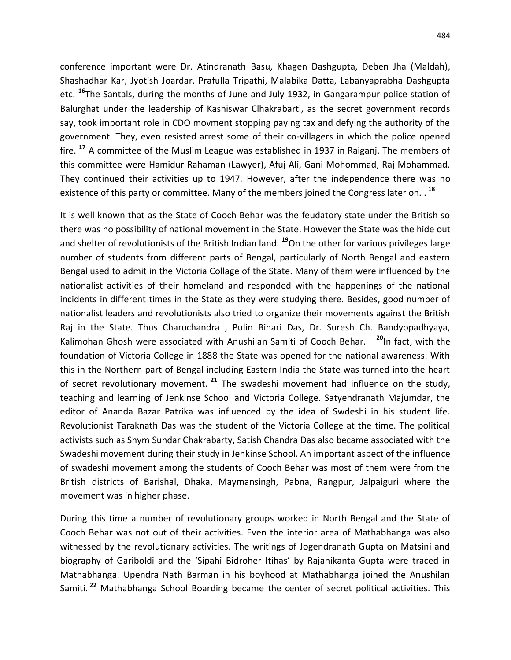conference important were Dr. Atindranath Basu, Khagen Dashgupta, Deben Jha (Maldah), Shashadhar Kar, Jyotish Joardar, Prafulla Tripathi, Malabika Datta, Labanyaprabha Dashgupta etc. **<sup>16</sup>** The Santals, during the months of June and July 1932, in Gangarampur police station of Balurghat under the leadership of Kashiswar Clhakrabarti, as the secret government records say, took important role in CDO movment stopping paying tax and defying the authority of the government. They, even resisted arrest some of their co-villagers in which the police opened fire. **<sup>17</sup>** A committee of the Muslim League was established in 1937 in Raiganj. The members of this committee were Hamidur Rahaman (Lawyer), Afuj Ali, Gani Mohommad, Raj Mohammad. They continued their activities up to 1947. However, after the independence there was no existence of this party or committee. Many of the members joined the Congress later on. . **<sup>18</sup>**

It is well known that as the State of Cooch Behar was the feudatory state under the British so there was no possibility of national movement in the State. However the State was the hide out and shelter of revolutionists of the British Indian land. **<sup>19</sup>**On the other for various privileges large number of students from different parts of Bengal, particularly of North Bengal and eastern Bengal used to admit in the Victoria Collage of the State. Many of them were influenced by the nationalist activities of their homeland and responded with the happenings of the national incidents in different times in the State as they were studying there. Besides, good number of nationalist leaders and revolutionists also tried to organize their movements against the British Raj in the State. Thus Charuchandra , Pulin Bihari Das, Dr. Suresh Ch. Bandyopadhyaya, Kalimohan Ghosh were associated with Anushilan Samiti of Cooch Behar. **<sup>20</sup>**In fact, with the foundation of Victoria College in 1888 the State was opened for the national awareness. With this in the Northern part of Bengal including Eastern India the State was turned into the heart of secret revolutionary movement. <sup>21</sup> The swadeshi movement had influence on the study, teaching and learning of Jenkinse School and Victoria College. Satyendranath Majumdar, the editor of Ananda Bazar Patrika was influenced by the idea of Swdeshi in his student life. Revolutionist Taraknath Das was the student of the Victoria College at the time. The political activists such as Shym Sundar Chakrabarty, Satish Chandra Das also became associated with the Swadeshi movement during their study in Jenkinse School. An important aspect of the influence of swadeshi movement among the students of Cooch Behar was most of them were from the British districts of Barishal, Dhaka, Maymansingh, Pabna, Rangpur, Jalpaiguri where the movement was in higher phase.

During this time a number of revolutionary groups worked in North Bengal and the State of Cooch Behar was not out of their activities. Even the interior area of Mathabhanga was also witnessed by the revolutionary activities. The writings of Jogendranath Gupta on Matsini and biography of Gariboldi and the 'Sipahi Bidroher Itihas' by Rajanikanta Gupta were traced in Mathabhanga. Upendra Nath Barman in his boyhood at Mathabhanga joined the Anushilan Samiti. **<sup>22</sup>** Mathabhanga School Boarding became the center of secret political activities. This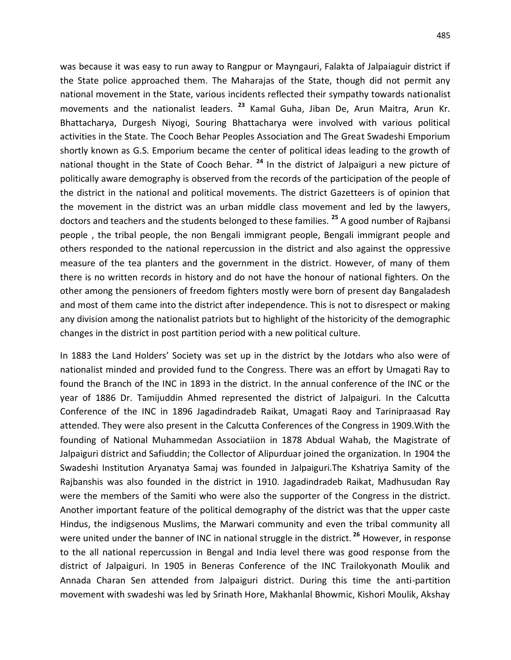was because it was easy to run away to Rangpur or Mayngauri, Falakta of Jalpaiaguir district if the State police approached them. The Maharajas of the State, though did not permit any national movement in the State, various incidents reflected their sympathy towards nationalist movements and the nationalist leaders. **<sup>23</sup>** Kamal Guha, Jiban De, Arun Maitra, Arun Kr. Bhattacharya, Durgesh Niyogi, Souring Bhattacharya were involved with various political activities in the State. The Cooch Behar Peoples Association and The Great Swadeshi Emporium shortly known as G.S. Emporium became the center of political ideas leading to the growth of national thought in the State of Cooch Behar. **<sup>24</sup>** In the district of Jalpaiguri a new picture of politically aware demography is observed from the records of the participation of the people of the district in the national and political movements. The district Gazetteers is of opinion that the movement in the district was an urban middle class movement and led by the lawyers, doctors and teachers and the students belonged to these families. **<sup>25</sup>** A good number of Rajbansi people , the tribal people, the non Bengali immigrant people, Bengali immigrant people and others responded to the national repercussion in the district and also against the oppressive measure of the tea planters and the government in the district. However, of many of them there is no written records in history and do not have the honour of national fighters. On the other among the pensioners of freedom fighters mostly were born of present day Bangaladesh and most of them came into the district after independence. This is not to disrespect or making any division among the nationalist patriots but to highlight of the historicity of the demographic changes in the district in post partition period with a new political culture.

In 1883 the Land Holders' Society was set up in the district by the Jotdars who also were of nationalist minded and provided fund to the Congress. There was an effort by Umagati Ray to found the Branch of the INC in 1893 in the district. In the annual conference of the INC or the year of 1886 Dr. Tamijuddin Ahmed represented the district of Jalpaiguri. In the Calcutta Conference of the INC in 1896 Jagadindradeb Raikat, Umagati Raoy and Tarinipraasad Ray attended. They were also present in the Calcutta Conferences of the Congress in 1909.With the founding of National Muhammedan Associatiion in 1878 Abdual Wahab, the Magistrate of Jalpaiguri district and Safiuddin; the Collector of Alipurduar joined the organization. In 1904 the Swadeshi Institution Aryanatya Samaj was founded in Jalpaiguri.The Kshatriya Samity of the Rajbanshis was also founded in the district in 1910. Jagadindradeb Raikat, Madhusudan Ray were the members of the Samiti who were also the supporter of the Congress in the district. Another important feature of the political demography of the district was that the upper caste Hindus, the indigsenous Muslims, the Marwari community and even the tribal community all were united under the banner of INC in national struggle in the district. **<sup>26</sup>** However, in response to the all national repercussion in Bengal and India level there was good response from the district of Jalpaiguri. In 1905 in Beneras Conference of the INC Trailokyonath Moulik and Annada Charan Sen attended from Jalpaiguri district. During this time the anti-partition movement with swadeshi was led by Srinath Hore, Makhanlal Bhowmic, Kishori Moulik, Akshay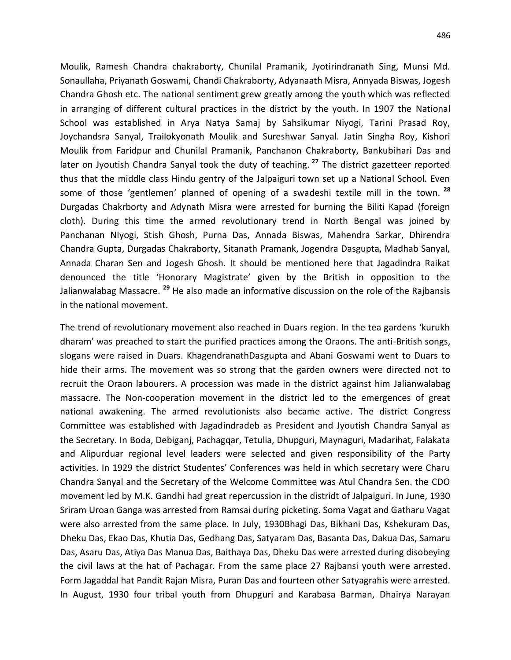Moulik, Ramesh Chandra chakraborty, Chunilal Pramanik, Jyotirindranath Sing, Munsi Md. Sonaullaha, Priyanath Goswami, Chandi Chakraborty, Adyanaath Misra, Annyada Biswas, Jogesh Chandra Ghosh etc. The national sentiment grew greatly among the youth which was reflected in arranging of different cultural practices in the district by the youth. In 1907 the National School was established in Arya Natya Samaj by Sahsikumar Niyogi, Tarini Prasad Roy,

Joychandsra Sanyal, Trailokyonath Moulik and Sureshwar Sanyal. Jatin Singha Roy, Kishori Moulik from Faridpur and Chunilal Pramanik, Panchanon Chakraborty, Bankubihari Das and later on Jyoutish Chandra Sanyal took the duty of teaching. **<sup>27</sup>** The district gazetteer reported thus that the middle class Hindu gentry of the Jalpaiguri town set up a National School. Even some of those 'gentlemen' planned of opening of a swadeshi textile mill in the town. **<sup>28</sup>** Durgadas Chakrborty and Adynath Misra were arrested for burning the Biliti Kapad (foreign cloth). During this time the armed revolutionary trend in North Bengal was joined by Panchanan NIyogi, Stish Ghosh, Purna Das, Annada Biswas, Mahendra Sarkar, Dhirendra Chandra Gupta, Durgadas Chakraborty, Sitanath Pramank, Jogendra Dasgupta, Madhab Sanyal, Annada Charan Sen and Jogesh Ghosh. It should be mentioned here that Jagadindra Raikat denounced the title 'Honorary Magistrate' given by the British in opposition to the Jalianwalabag Massacre. **<sup>29</sup>** He also made an informative discussion on the role of the Rajbansis in the national movement.

The trend of revolutionary movement also reached in Duars region. In the tea gardens 'kurukh dharam' was preached to start the purified practices among the Oraons. The anti-British songs, slogans were raised in Duars. KhagendranathDasgupta and Abani Goswami went to Duars to hide their arms. The movement was so strong that the garden owners were directed not to recruit the Oraon labourers. A procession was made in the district against him Jalianwalabag massacre. The Non-cooperation movement in the district led to the emergences of great national awakening. The armed revolutionists also became active. The district Congress Committee was established with Jagadindradeb as President and Jyoutish Chandra Sanyal as the Secretary. In Boda, Debiganj, Pachagqar, Tetulia, Dhupguri, Maynaguri, Madarihat, Falakata and Alipurduar regional level leaders were selected and given responsibility of the Party activities. In 1929 the district Studentes' Conferences was held in which secretary were Charu Chandra Sanyal and the Secretary of the Welcome Committee was Atul Chandra Sen. the CDO movement led by M.K. Gandhi had great repercussion in the distridt of Jalpaiguri. In June, 1930 Sriram Uroan Ganga was arrested from Ramsai during picketing. Soma Vagat and Gatharu Vagat were also arrested from the same place. In July, 1930Bhagi Das, Bikhani Das, Kshekuram Das, Dheku Das, Ekao Das, Khutia Das, Gedhang Das, Satyaram Das, Basanta Das, Dakua Das, Samaru Das, Asaru Das, Atiya Das Manua Das, Baithaya Das, Dheku Das were arrested during disobeying the civil laws at the hat of Pachagar. From the same place 27 Rajbansi youth were arrested. Form Jagaddal hat Pandit Rajan Misra, Puran Das and fourteen other Satyagrahis were arrested. In August, 1930 four tribal youth from Dhupguri and Karabasa Barman, Dhairya Narayan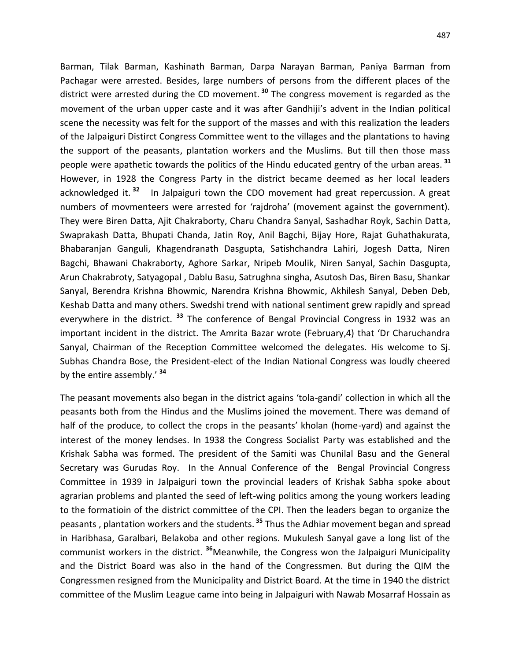Barman, Tilak Barman, Kashinath Barman, Darpa Narayan Barman, Paniya Barman from Pachagar were arrested. Besides, large numbers of persons from the different places of the district were arrested during the CD movement. **<sup>30</sup>** The congress movement is regarded as the movement of the urban upper caste and it was after Gandhiji's advent in the Indian political scene the necessity was felt for the support of the masses and with this realization the leaders of the Jalpaiguri Distirct Congress Committee went to the villages and the plantations to having the support of the peasants, plantation workers and the Muslims. But till then those mass people were apathetic towards the politics of the Hindu educated gentry of the urban areas. **<sup>31</sup>** However, in 1928 the Congress Party in the district became deemed as her local leaders acknowledged it. **<sup>32</sup>** In Jalpaiguri town the CDO movement had great repercussion. A great numbers of movmenteers were arrested for 'rajdroha' (movement against the government). They were Biren Datta, Ajit Chakraborty, Charu Chandra Sanyal, Sashadhar Royk, Sachin Datta, Swaprakash Datta, Bhupati Chanda, Jatin Roy, Anil Bagchi, Bijay Hore, Rajat Guhathakurata, Bhabaranjan Ganguli, Khagendranath Dasgupta, Satishchandra Lahiri, Jogesh Datta, Niren Bagchi, Bhawani Chakraborty, Aghore Sarkar, Nripeb Moulik, Niren Sanyal, Sachin Dasgupta, Arun Chakrabroty, Satyagopal , Dablu Basu, Satrughna singha, Asutosh Das, Biren Basu, Shankar Sanyal, Berendra Krishna Bhowmic, Narendra Krishna Bhowmic, Akhilesh Sanyal, Deben Deb, Keshab Datta and many others. Swedshi trend with national sentiment grew rapidly and spread everywhere in the district. **<sup>33</sup>** The conference of Bengal Provincial Congress in 1932 was an important incident in the district. The Amrita Bazar wrote (February,4) that 'Dr Charuchandra Sanyal, Chairman of the Reception Committee welcomed the delegates. His welcome to Sj. Subhas Chandra Bose, the President-elect of the Indian National Congress was loudly cheered by the entire assembly.' **<sup>34</sup>**

The peasant movements also began in the district agains 'tola-gandi' collection in which all the peasants both from the Hindus and the Muslims joined the movement. There was demand of half of the produce, to collect the crops in the peasants' kholan (home-yard) and against the interest of the money lendses. In 1938 the Congress Socialist Party was established and the Krishak Sabha was formed. The president of the Samiti was Chunilal Basu and the General Secretary was Gurudas Roy. In the Annual Conference of the Bengal Provincial Congress Committee in 1939 in Jalpaiguri town the provincial leaders of Krishak Sabha spoke about agrarian problems and planted the seed of left-wing politics among the young workers leading to the formatioin of the district committee of the CPI. Then the leaders began to organize the peasants , plantation workers and the students. **<sup>35</sup>** Thus the Adhiar movement began and spread in Haribhasa, Garalbari, Belakoba and other regions. Mukulesh Sanyal gave a long list of the communist workers in the district. **<sup>36</sup>**Meanwhile, the Congress won the Jalpaiguri Municipality and the District Board was also in the hand of the Congressmen. But during the QIM the Congressmen resigned from the Municipality and District Board. At the time in 1940 the district committee of the Muslim League came into being in Jalpaiguri with Nawab Mosarraf Hossain as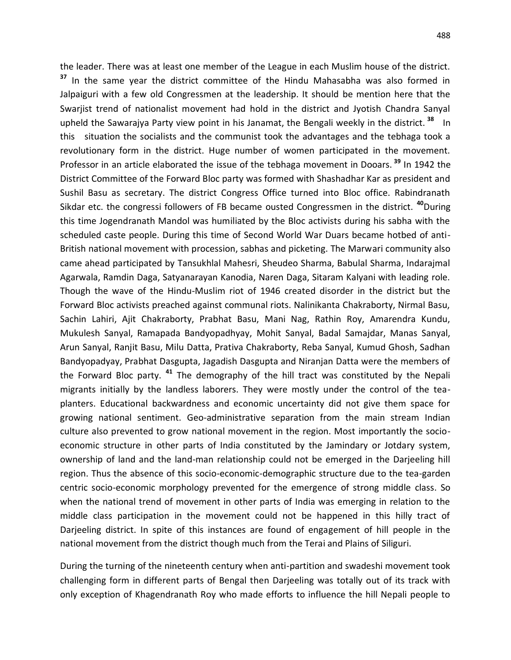the leader. There was at least one member of the League in each Muslim house of the district. **<sup>37</sup>** In the same year the district committee of the Hindu Mahasabha was also formed in Jalpaiguri with a few old Congressmen at the leadership. It should be mention here that the Swarjist trend of nationalist movement had hold in the district and Jyotish Chandra Sanyal upheld the Sawarajya Party view point in his Janamat, the Bengali weekly in the district. **<sup>38</sup>** In this situation the socialists and the communist took the advantages and the tebhaga took a revolutionary form in the district. Huge number of women participated in the movement. Professor in an article elaborated the issue of the tebhaga movement in Dooars. **<sup>39</sup>** In 1942 the District Committee of the Forward Bloc party was formed with Shashadhar Kar as president and Sushil Basu as secretary. The district Congress Office turned into Bloc office. Rabindranath Sikdar etc. the congressi followers of FB became ousted Congressmen in the district. **<sup>40</sup>**During this time Jogendranath Mandol was humiliated by the Bloc activists during his sabha with the scheduled caste people. During this time of Second World War Duars became hotbed of anti-British national movement with procession, sabhas and picketing. The Marwari community also came ahead participated by Tansukhlal Mahesri, Sheudeo Sharma, Babulal Sharma, Indarajmal Agarwala, Ramdin Daga, Satyanarayan Kanodia, Naren Daga, Sitaram Kalyani with leading role. Though the wave of the Hindu-Muslim riot of 1946 created disorder in the district but the Forward Bloc activists preached against communal riots. Nalinikanta Chakraborty, Nirmal Basu, Sachin Lahiri, Ajit Chakraborty, Prabhat Basu, Mani Nag, Rathin Roy, Amarendra Kundu, Mukulesh Sanyal, Ramapada Bandyopadhyay, Mohit Sanyal, Badal Samajdar, Manas Sanyal, Arun Sanyal, Ranjit Basu, Milu Datta, Prativa Chakraborty, Reba Sanyal, Kumud Ghosh, Sadhan Bandyopadyay, Prabhat Dasgupta, Jagadish Dasgupta and Niranjan Datta were the members of the Forward Bloc party. **<sup>41</sup>** The demography of the hill tract was constituted by the Nepali migrants initially by the landless laborers. They were mostly under the control of the teaplanters. Educational backwardness and economic uncertainty did not give them space for growing national sentiment. Geo-administrative separation from the main stream Indian culture also prevented to grow national movement in the region. Most importantly the socioeconomic structure in other parts of India constituted by the Jamindary or Jotdary system, ownership of land and the land-man relationship could not be emerged in the Darjeeling hill region. Thus the absence of this socio-economic-demographic structure due to the tea-garden centric socio-economic morphology prevented for the emergence of strong middle class. So when the national trend of movement in other parts of India was emerging in relation to the middle class participation in the movement could not be happened in this hilly tract of Darjeeling district. In spite of this instances are found of engagement of hill people in the national movement from the district though much from the Terai and Plains of Siliguri.

During the turning of the nineteenth century when anti-partition and swadeshi movement took challenging form in different parts of Bengal then Darjeeling was totally out of its track with only exception of Khagendranath Roy who made efforts to influence the hill Nepali people to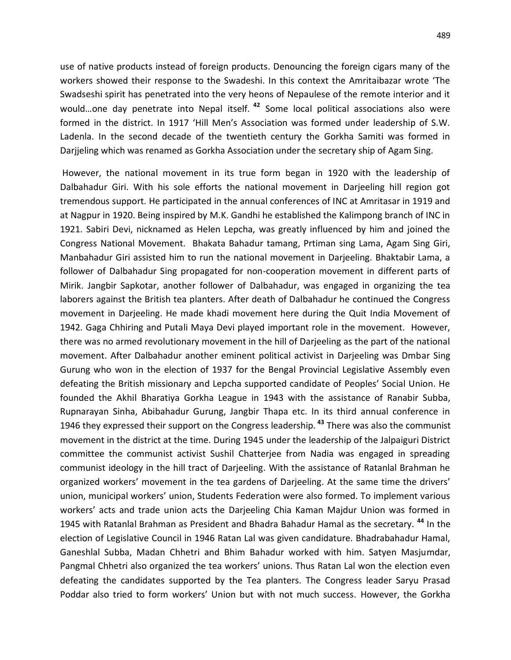use of native products instead of foreign products. Denouncing the foreign cigars many of the workers showed their response to the Swadeshi. In this context the Amritaibazar wrote 'The Swadseshi spirit has penetrated into the very heons of Nepaulese of the remote interior and it would…one day penetrate into Nepal itself. **<sup>42</sup>** Some local political associations also were formed in the district. In 1917 'Hill Men's Association was formed under leadership of S.W. Ladenla. In the second decade of the twentieth century the Gorkha Samiti was formed in Darjjeling which was renamed as Gorkha Association under the secretary ship of Agam Sing.

However, the national movement in its true form began in 1920 with the leadership of Dalbahadur Giri. With his sole efforts the national movement in Darjeeling hill region got tremendous support. He participated in the annual conferences of INC at Amritasar in 1919 and at Nagpur in 1920. Being inspired by M.K. Gandhi he established the Kalimpong branch of INC in 1921. Sabiri Devi, nicknamed as Helen Lepcha, was greatly influenced by him and joined the Congress National Movement. Bhakata Bahadur tamang, Prtiman sing Lama, Agam Sing Giri, Manbahadur Giri assisted him to run the national movement in Darjeeling. Bhaktabir Lama, a follower of Dalbahadur Sing propagated for non-cooperation movement in different parts of Mirik. Jangbir Sapkotar, another follower of Dalbahadur, was engaged in organizing the tea laborers against the British tea planters. After death of Dalbahadur he continued the Congress movement in Darjeeling. He made khadi movement here during the Quit India Movement of 1942. Gaga Chhiring and Putali Maya Devi played important role in the movement. However, there was no armed revolutionary movement in the hill of Darjeeling as the part of the national movement. After Dalbahadur another eminent political activist in Darjeeling was Dmbar Sing Gurung who won in the election of 1937 for the Bengal Provincial Legislative Assembly even defeating the British missionary and Lepcha supported candidate of Peoples' Social Union. He founded the Akhil Bharatiya Gorkha League in 1943 with the assistance of Ranabir Subba, Rupnarayan Sinha, Abibahadur Gurung, Jangbir Thapa etc. In its third annual conference in 1946 they expressed their support on the Congress leadership. **<sup>43</sup>** There was also the communist movement in the district at the time. During 1945 under the leadership of the Jalpaiguri District committee the communist activist Sushil Chatterjee from Nadia was engaged in spreading communist ideology in the hill tract of Darjeeling. With the assistance of Ratanlal Brahman he organized workers' movement in the tea gardens of Darjeeling. At the same time the drivers' union, municipal workers' union, Students Federation were also formed. To implement various workers' acts and trade union acts the Darjeeling Chia Kaman Majdur Union was formed in 1945 with Ratanlal Brahman as President and Bhadra Bahadur Hamal as the secretary. **<sup>44</sup>** In the election of Legislative Council in 1946 Ratan Lal was given candidature. Bhadrabahadur Hamal, Ganeshlal Subba, Madan Chhetri and Bhim Bahadur worked with him. Satyen Masjumdar, Pangmal Chhetri also organized the tea workers' unions. Thus Ratan Lal won the election even defeating the candidates supported by the Tea planters. The Congress leader Saryu Prasad Poddar also tried to form workers' Union but with not much success. However, the Gorkha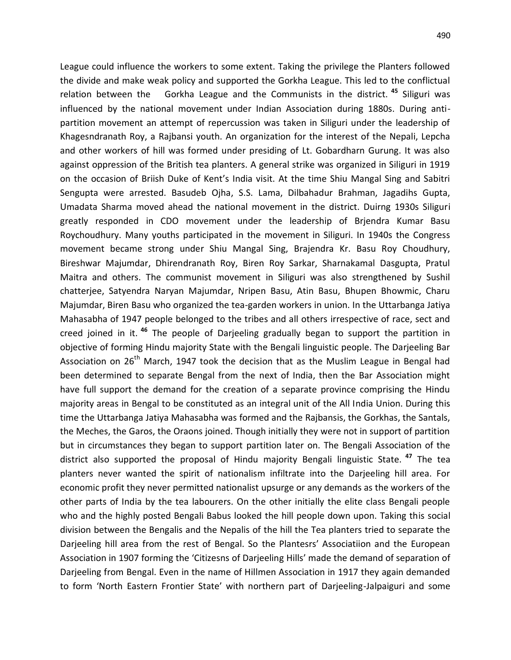League could influence the workers to some extent. Taking the privilege the Planters followed the divide and make weak policy and supported the Gorkha League. This led to the conflictual relation between the Gorkha League and the Communists in the district. **<sup>45</sup>** Siliguri was influenced by the national movement under Indian Association during 1880s. During antipartition movement an attempt of repercussion was taken in Siliguri under the leadership of Khagesndranath Roy, a Rajbansi youth. An organization for the interest of the Nepali, Lepcha and other workers of hill was formed under presiding of Lt. Gobardharn Gurung. It was also against oppression of the British tea planters. A general strike was organized in Siliguri in 1919 on the occasion of Briish Duke of Kent's India visit. At the time Shiu Mangal Sing and Sabitri Sengupta were arrested. Basudeb Ojha, S.S. Lama, Dilbahadur Brahman, Jagadihs Gupta, Umadata Sharma moved ahead the national movement in the district. Duirng 1930s Siliguri greatly responded in CDO movement under the leadership of Brjendra Kumar Basu Roychoudhury. Many youths participated in the movement in Siliguri. In 1940s the Congress movement became strong under Shiu Mangal Sing, Brajendra Kr. Basu Roy Choudhury, Bireshwar Majumdar, Dhirendranath Roy, Biren Roy Sarkar, Sharnakamal Dasgupta, Pratul Maitra and others. The communist movement in Siliguri was also strengthened by Sushil chatterjee, Satyendra Naryan Majumdar, Nripen Basu, Atin Basu, Bhupen Bhowmic, Charu Majumdar, Biren Basu who organized the tea-garden workers in union. In the Uttarbanga Jatiya Mahasabha of 1947 people belonged to the tribes and all others irrespective of race, sect and creed joined in it. **<sup>46</sup>** The people of Darjeeling gradually began to support the partition in objective of forming Hindu majority State with the Bengali linguistic people. The Darjeeling Bar Association on  $26<sup>th</sup>$  March, 1947 took the decision that as the Muslim League in Bengal had been determined to separate Bengal from the next of India, then the Bar Association might have full support the demand for the creation of a separate province comprising the Hindu majority areas in Bengal to be constituted as an integral unit of the All India Union. During this time the Uttarbanga Jatiya Mahasabha was formed and the Rajbansis, the Gorkhas, the Santals, the Meches, the Garos, the Oraons joined. Though initially they were not in support of partition but in circumstances they began to support partition later on. The Bengali Association of the district also supported the proposal of Hindu majority Bengali linguistic State. **<sup>47</sup>** The tea planters never wanted the spirit of nationalism infiltrate into the Darjeeling hill area. For economic profit they never permitted nationalist upsurge or any demands as the workers of the other parts of India by the tea labourers. On the other initially the elite class Bengali people who and the highly posted Bengali Babus looked the hill people down upon. Taking this social division between the Bengalis and the Nepalis of the hill the Tea planters tried to separate the Darjeeling hill area from the rest of Bengal. So the Plantesrs' Associatiion and the European Association in 1907 forming the 'Citizesns of Darjeeling Hills' made the demand of separation of Darjeeling from Bengal. Even in the name of Hillmen Association in 1917 they again demanded to form 'North Eastern Frontier State' with northern part of Darjeeling-Jalpaiguri and some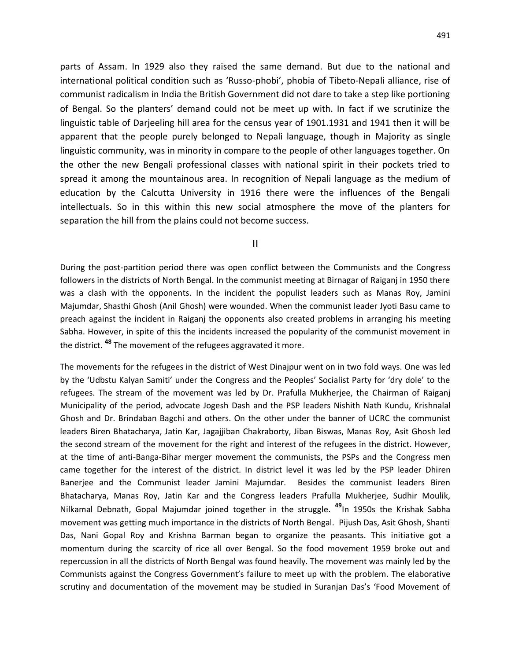parts of Assam. In 1929 also they raised the same demand. But due to the national and international political condition such as 'Russo-phobi', phobia of Tibeto-Nepali alliance, rise of communist radicalism in India the British Government did not dare to take a step like portioning of Bengal. So the planters' demand could not be meet up with. In fact if we scrutinize the linguistic table of Darjeeling hill area for the census year of 1901.1931 and 1941 then it will be apparent that the people purely belonged to Nepali language, though in Majority as single linguistic community, was in minority in compare to the people of other languages together. On the other the new Bengali professional classes with national spirit in their pockets tried to spread it among the mountainous area. In recognition of Nepali language as the medium of education by the Calcutta University in 1916 there were the influences of the Bengali intellectuals. So in this within this new social atmosphere the move of the planters for separation the hill from the plains could not become success.

II

During the post-partition period there was open conflict between the Communists and the Congress followers in the districts of North Bengal. In the communist meeting at Birnagar of Raiganj in 1950 there was a clash with the opponents. In the incident the populist leaders such as Manas Roy, Jamini Majumdar, Shasthi Ghosh (Anil Ghosh) were wounded. When the communist leader Jyoti Basu came to preach against the incident in Raiganj the opponents also created problems in arranging his meeting Sabha. However, in spite of this the incidents increased the popularity of the communist movement in the district. **<sup>48</sup>** The movement of the refugees aggravated it more.

The movements for the refugees in the district of West Dinajpur went on in two fold ways. One was led by the 'Udbstu Kalyan Samiti' under the Congress and the Peoples' Socialist Party for 'dry dole' to the refugees. The stream of the movement was led by Dr. Prafulla Mukherjee, the Chairman of Raiganj Municipality of the period, advocate Jogesh Dash and the PSP leaders Nishith Nath Kundu, Krishnalal Ghosh and Dr. Brindaban Bagchi and others. On the other under the banner of UCRC the communist leaders Biren Bhatacharya, Jatin Kar, Jagajjiban Chakraborty, Jiban Biswas, Manas Roy, Asit Ghosh led the second stream of the movement for the right and interest of the refugees in the district. However, at the time of anti-Banga-Bihar merger movement the communists, the PSPs and the Congress men came together for the interest of the district. In district level it was led by the PSP leader Dhiren Banerjee and the Communist leader Jamini Majumdar. Besides the communist leaders Biren Bhatacharya, Manas Roy, Jatin Kar and the Congress leaders Prafulla Mukherjee, Sudhir Moulik, Nilkamal Debnath, Gopal Majumdar joined together in the struggle. **49**In 1950s the Krishak Sabha movement was getting much importance in the districts of North Bengal. Pijush Das, Asit Ghosh, Shanti Das, Nani Gopal Roy and Krishna Barman began to organize the peasants. This initiative got a momentum during the scarcity of rice all over Bengal. So the food movement 1959 broke out and repercussion in all the districts of North Bengal was found heavily. The movement was mainly led by the Communists against the Congress Government's failure to meet up with the problem. The elaborative scrutiny and documentation of the movement may be studied in Suranjan Das's 'Food Movement of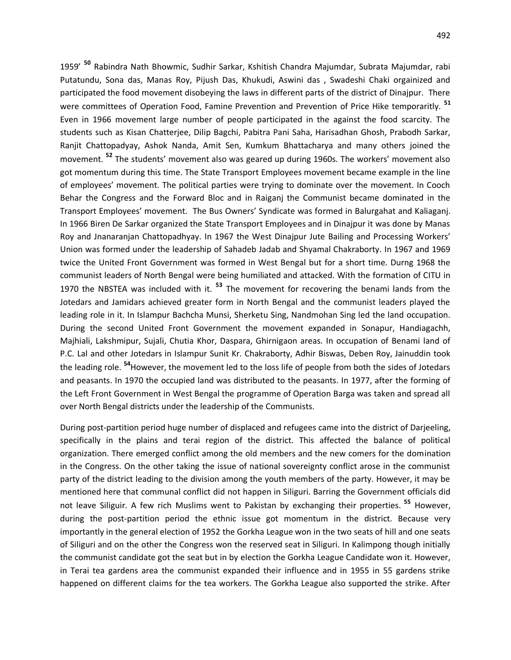1959' **<sup>50</sup>** Rabindra Nath Bhowmic, Sudhir Sarkar, Kshitish Chandra Majumdar, Subrata Majumdar, rabi Putatundu, Sona das, Manas Roy, Pijush Das, Khukudi, Aswini das , Swadeshi Chaki orgainized and participated the food movement disobeying the laws in different parts of the district of Dinajpur. There were committees of Operation Food, Famine Prevention and Prevention of Price Hike temporaritly. **<sup>51</sup>** Even in 1966 movement large number of people participated in the against the food scarcity. The students such as Kisan Chatterjee, Dilip Bagchi, Pabitra Pani Saha, Harisadhan Ghosh, Prabodh Sarkar, Ranjit Chattopadyay, Ashok Nanda, Amit Sen, Kumkum Bhattacharya and many others joined the movement. **<sup>52</sup>** The students' movement also was geared up during 1960s. The workers' movement also got momentum during this time. The State Transport Employees movement became example in the line of employees' movement. The political parties were trying to dominate over the movement. In Cooch Behar the Congress and the Forward Bloc and in Raiganj the Communist became dominated in the Transport Employees' movement. The Bus Owners' Syndicate was formed in Balurgahat and Kaliaganj. In 1966 Biren De Sarkar organized the State Transport Employees and in Dinajpur it was done by Manas Roy and Jnanaranjan Chattopadhyay. In 1967 the West Dinajpur Jute Bailing and Processing Workers' Union was formed under the leadership of Sahadeb Jadab and Shyamal Chakraborty. In 1967 and 1969 twice the United Front Government was formed in West Bengal but for a short time. Durng 1968 the communist leaders of North Bengal were being humiliated and attacked. With the formation of CITU in 1970 the NBSTEA was included with it. **<sup>53</sup>** The movement for recovering the benami lands from the Jotedars and Jamidars achieved greater form in North Bengal and the communist leaders played the leading role in it. In Islampur Bachcha Munsi, Sherketu Sing, Nandmohan Sing led the land occupation. During the second United Front Government the movement expanded in Sonapur, Handiagachh, Majhiali, Lakshmipur, Sujali, Chutia Khor, Daspara, Ghirnigaon areas. In occupation of Benami land of P.C. Lal and other Jotedars in Islampur Sunit Kr. Chakraborty, Adhir Biswas, Deben Roy, Jainuddin took the leading role. **54**However, the movement led to the loss life of people from both the sides of Jotedars and peasants. In 1970 the occupied land was distributed to the peasants. In 1977, after the forming of the Left Front Government in West Bengal the programme of Operation Barga was taken and spread all over North Bengal districts under the leadership of the Communists.

During post-partition period huge number of displaced and refugees came into the district of Darjeeling, specifically in the plains and terai region of the district. This affected the balance of political organization. There emerged conflict among the old members and the new comers for the domination in the Congress. On the other taking the issue of national sovereignty conflict arose in the communist party of the district leading to the division among the youth members of the party. However, it may be mentioned here that communal conflict did not happen in Siliguri. Barring the Government officials did not leave Siliguir. A few rich Muslims went to Pakistan by exchanging their properties. **<sup>55</sup>** However, during the post-partition period the ethnic issue got momentum in the district. Because very importantly in the general election of 1952 the Gorkha League won in the two seats of hill and one seats of Siliguri and on the other the Congress won the reserved seat in Siliguri. In Kalimpong though initially the communist candidate got the seat but in by election the Gorkha League Candidate won it. However, in Terai tea gardens area the communist expanded their influence and in 1955 in 55 gardens strike happened on different claims for the tea workers. The Gorkha League also supported the strike. After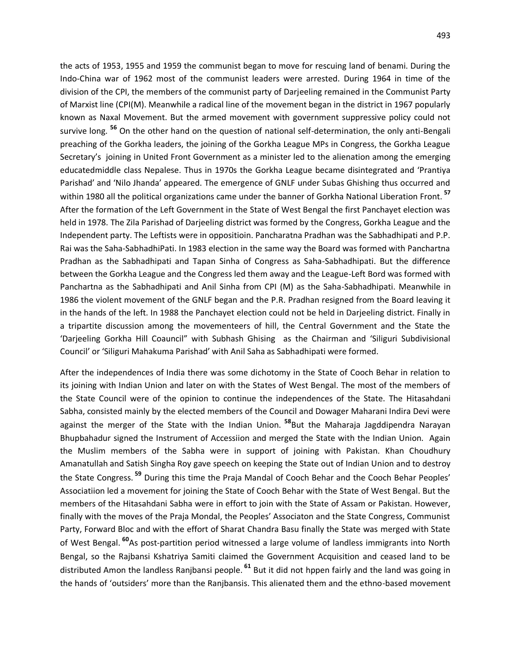the acts of 1953, 1955 and 1959 the communist began to move for rescuing land of benami. During the Indo-China war of 1962 most of the communist leaders were arrested. During 1964 in time of the division of the CPI, the members of the communist party of Darjeeling remained in the Communist Party of Marxist line (CPI(M). Meanwhile a radical line of the movement began in the district in 1967 popularly known as Naxal Movement. But the armed movement with government suppressive policy could not survive long. **<sup>56</sup>** On the other hand on the question of national self-determination, the only anti-Bengali preaching of the Gorkha leaders, the joining of the Gorkha League MPs in Congress, the Gorkha League Secretary's joining in United Front Government as a minister led to the alienation among the emerging educatedmiddle class Nepalese. Thus in 1970s the Gorkha League became disintegrated and 'Prantiya Parishad' and 'Nilo Jhanda' appeared. The emergence of GNLF under Subas Ghishing thus occurred and within 1980 all the political organizations came under the banner of Gorkha National Liberation Front. **<sup>57</sup>** After the formation of the Left Government in the State of West Bengal the first Panchayet election was held in 1978. The Zila Parishad of Darjeeling district was formed by the Congress, Gorkha League and the Independent party. The Leftists were in oppositioin. Pancharatna Pradhan was the Sabhadhipati and P.P. Rai was the Saha-SabhadhiPati. In 1983 election in the same way the Board was formed with Panchartna Pradhan as the Sabhadhipati and Tapan Sinha of Congress as Saha-Sabhadhipati. But the difference between the Gorkha League and the Congress led them away and the League-Left Bord was formed with Panchartna as the Sabhadhipati and Anil Sinha from CPI (M) as the Saha-Sabhadhipati. Meanwhile in 1986 the violent movement of the GNLF began and the P.R. Pradhan resigned from the Board leaving it in the hands of the left. In 1988 the Panchayet election could not be held in Darjeeling district. Finally in a tripartite discussion among the movementeers of hill, the Central Government and the State the 'Darjeeling Gorkha Hill Coauncil" with Subhash Ghising as the Chairman and 'Siliguri Subdivisional Council' or 'Siliguri Mahakuma Parishad' with Anil Saha as Sabhadhipati were formed.

After the independences of India there was some dichotomy in the State of Cooch Behar in relation to its joining with Indian Union and later on with the States of West Bengal. The most of the members of the State Council were of the opinion to continue the independences of the State. The Hitasahdani Sabha, consisted mainly by the elected members of the Council and Dowager Maharani Indira Devi were against the merger of the State with the Indian Union. **<sup>58</sup>**But the Maharaja Jagddipendra Narayan Bhupbahadur signed the Instrument of Accessiion and merged the State with the Indian Union. Again the Muslim members of the Sabha were in support of joining with Pakistan. Khan Choudhury Amanatullah and Satish Singha Roy gave speech on keeping the State out of Indian Union and to destroy the State Congress. **<sup>59</sup>** During this time the Praja Mandal of Cooch Behar and the Cooch Behar Peoples' Associatiion led a movement for joining the State of Cooch Behar with the State of West Bengal. But the members of the Hitasahdani Sabha were in effort to join with the State of Assam or Pakistan. However, finally with the moves of the Praja Mondal, the Peoples' Associaton and the State Congress, Communist Party, Forward Bloc and with the effort of Sharat Chandra Basu finally the State was merged with State of West Bengal. **<sup>60</sup>**As post-partition period witnessed a large volume of landless immigrants into North Bengal, so the Rajbansi Kshatriya Samiti claimed the Government Acquisition and ceased land to be distributed Amon the landless Ranjbansi people. **<sup>61</sup>** But it did not hppen fairly and the land was going in the hands of 'outsiders' more than the Ranjbansis. This alienated them and the ethno-based movement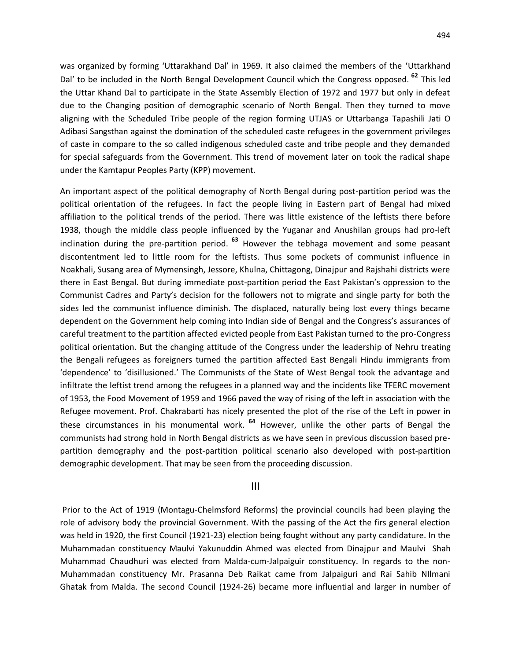was organized by forming 'Uttarakhand Dal' in 1969. It also claimed the members of the 'Uttarkhand Dal' to be included in the North Bengal Development Council which the Congress opposed. **<sup>62</sup>** This led the Uttar Khand Dal to participate in the State Assembly Election of 1972 and 1977 but only in defeat due to the Changing position of demographic scenario of North Bengal. Then they turned to move aligning with the Scheduled Tribe people of the region forming UTJAS or Uttarbanga Tapashili Jati O Adibasi Sangsthan against the domination of the scheduled caste refugees in the government privileges of caste in compare to the so called indigenous scheduled caste and tribe people and they demanded for special safeguards from the Government. This trend of movement later on took the radical shape under the Kamtapur Peoples Party (KPP) movement.

An important aspect of the political demography of North Bengal during post-partition period was the political orientation of the refugees. In fact the people living in Eastern part of Bengal had mixed affiliation to the political trends of the period. There was little existence of the leftists there before 1938, though the middle class people influenced by the Yuganar and Anushilan groups had pro-left inclination during the pre-partition period. **<sup>63</sup>** However the tebhaga movement and some peasant discontentment led to little room for the leftists. Thus some pockets of communist influence in Noakhali, Susang area of Mymensingh, Jessore, Khulna, Chittagong, Dinajpur and Rajshahi districts were there in East Bengal. But during immediate post-partition period the East Pakistan's oppression to the Communist Cadres and Party's decision for the followers not to migrate and single party for both the sides led the communist influence diminish. The displaced, naturally being lost every things became dependent on the Government help coming into Indian side of Bengal and the Congress's assurances of careful treatment to the partition affected evicted people from East Pakistan turned to the pro-Congress political orientation. But the changing attitude of the Congress under the leadership of Nehru treating the Bengali refugees as foreigners turned the partition affected East Bengali Hindu immigrants from 'dependence' to 'disillusioned.' The Communists of the State of West Bengal took the advantage and infiltrate the leftist trend among the refugees in a planned way and the incidents like TFERC movement of 1953, the Food Movement of 1959 and 1966 paved the way of rising of the left in association with the Refugee movement. Prof. Chakrabarti has nicely presented the plot of the rise of the Left in power in these circumstances in his monumental work. **<sup>64</sup>** However, unlike the other parts of Bengal the communists had strong hold in North Bengal districts as we have seen in previous discussion based prepartition demography and the post-partition political scenario also developed with post-partition demographic development. That may be seen from the proceeding discussion.

#### III

Prior to the Act of 1919 (Montagu-Chelmsford Reforms) the provincial councils had been playing the role of advisory body the provincial Government. With the passing of the Act the firs general election was held in 1920, the first Council (1921-23) election being fought without any party candidature. In the Muhammadan constituency Maulvi Yakunuddin Ahmed was elected from Dinajpur and Maulvi Shah Muhammad Chaudhuri was elected from Malda-cum-Jalpaiguir constituency. In regards to the non-Muhammadan constituency Mr. Prasanna Deb Raikat came from Jalpaiguri and Rai Sahib NIlmani Ghatak from Malda. The second Council (1924-26) became more influential and larger in number of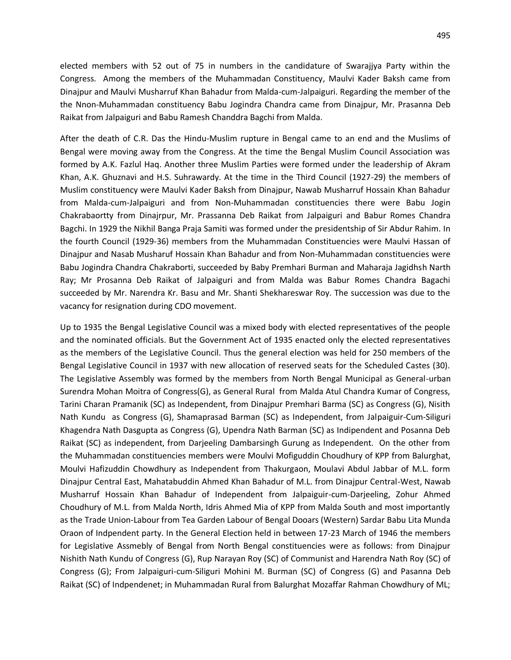elected members with 52 out of 75 in numbers in the candidature of Swarajjya Party within the Congress. Among the members of the Muhammadan Constituency, Maulvi Kader Baksh came from Dinajpur and Maulvi Musharruf Khan Bahadur from Malda-cum-Jalpaiguri. Regarding the member of the the Nnon-Muhammadan constituency Babu Jogindra Chandra came from Dinajpur, Mr. Prasanna Deb Raikat from Jalpaiguri and Babu Ramesh Chanddra Bagchi from Malda.

After the death of C.R. Das the Hindu-Muslim rupture in Bengal came to an end and the Muslims of Bengal were moving away from the Congress. At the time the Bengal Muslim Council Association was formed by A.K. Fazlul Haq. Another three Muslim Parties were formed under the leadership of Akram Khan, A.K. Ghuznavi and H.S. Suhrawardy. At the time in the Third Council (1927-29) the members of Muslim constituency were Maulvi Kader Baksh from Dinajpur, Nawab Musharruf Hossain Khan Bahadur from Malda-cum-Jalpaiguri and from Non-Muhammadan constituencies there were Babu Jogin Chakrabaortty from Dinajrpur, Mr. Prassanna Deb Raikat from Jalpaiguri and Babur Romes Chandra Bagchi. In 1929 the Nikhil Banga Praja Samiti was formed under the presidentship of Sir Abdur Rahim. In the fourth Council (1929-36) members from the Muhammadan Constituencies were Maulvi Hassan of Dinajpur and Nasab Musharuf Hossain Khan Bahadur and from Non-Muhammadan constituencies were Babu Jogindra Chandra Chakraborti, succeeded by Baby Premhari Burman and Maharaja Jagidhsh Narth Ray; Mr Prosanna Deb Raikat of Jalpaiguri and from Malda was Babur Romes Chandra Bagachi succeeded by Mr. Narendra Kr. Basu and Mr. Shanti Shekhareswar Roy. The succession was due to the vacancy for resignation during CDO movement.

Up to 1935 the Bengal Legislative Council was a mixed body with elected representatives of the people and the nominated officials. But the Government Act of 1935 enacted only the elected representatives as the members of the Legislative Council. Thus the general election was held for 250 members of the Bengal Legislative Council in 1937 with new allocation of reserved seats for the Scheduled Castes (30). The Legislative Assembly was formed by the members from North Bengal Municipal as General-urban Surendra Mohan Moitra of Congress(G), as General Rural from Malda Atul Chandra Kumar of Congress, Tarini Charan Pramanik (SC) as Independent, from Dinajpur Premhari Barma (SC) as Congress (G), Nisith Nath Kundu as Congress (G), Shamaprasad Barman (SC) as Independent, from Jalpaiguir-Cum-Siliguri Khagendra Nath Dasgupta as Congress (G), Upendra Nath Barman (SC) as Indipendent and Posanna Deb Raikat (SC) as independent, from Darjeeling Dambarsingh Gurung as Independent. On the other from the Muhammadan constituencies members were Moulvi Mofiguddin Choudhury of KPP from Balurghat, Moulvi Hafizuddin Chowdhury as Independent from Thakurgaon, Moulavi Abdul Jabbar of M.L. form Dinajpur Central East, Mahatabuddin Ahmed Khan Bahadur of M.L. from Dinajpur Central-West, Nawab Musharruf Hossain Khan Bahadur of Independent from Jalpaiguir-cum-Darjeeling, Zohur Ahmed Choudhury of M.L. from Malda North, Idris Ahmed Mia of KPP from Malda South and most importantly as the Trade Union-Labour from Tea Garden Labour of Bengal Dooars (Western) Sardar Babu Lita Munda Oraon of Indpendent party. In the General Election held in between 17-23 March of 1946 the members for Legislative Assmebly of Bengal from North Bengal constituencies were as follows: from Dinajpur Nishith Nath Kundu of Congress (G), Rup Narayan Roy (SC) of Communist and Harendra Nath Roy (SC) of Congress (G); From Jalpaiguri-cum-Siliguri Mohini M. Burman (SC) of Congress (G) and Pasanna Deb Raikat (SC) of Indpendenet; in Muhammadan Rural from Balurghat Mozaffar Rahman Chowdhury of ML;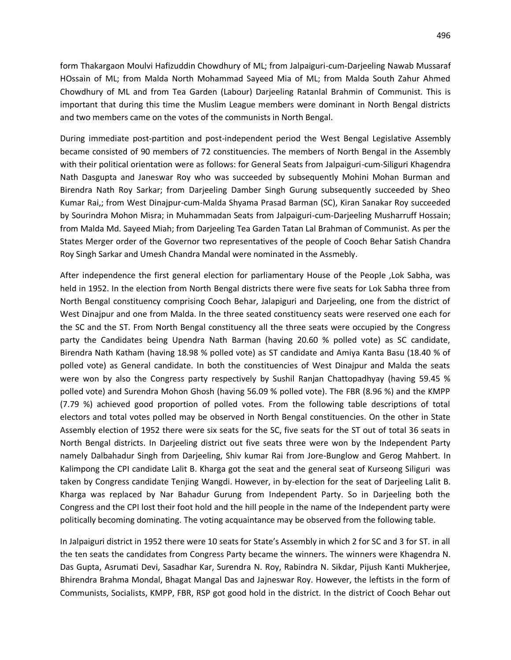form Thakargaon Moulvi Hafizuddin Chowdhury of ML; from Jalpaiguri-cum-Darjeeling Nawab Mussaraf HOssain of ML; from Malda North Mohammad Sayeed Mia of ML; from Malda South Zahur Ahmed Chowdhury of ML and from Tea Garden (Labour) Darjeeling Ratanlal Brahmin of Communist. This is important that during this time the Muslim League members were dominant in North Bengal districts and two members came on the votes of the communists in North Bengal.

During immediate post-partition and post-independent period the West Bengal Legislative Assembly became consisted of 90 members of 72 constituencies. The members of North Bengal in the Assembly with their political orientation were as follows: for General Seats from Jalpaiguri-cum-Siliguri Khagendra Nath Dasgupta and Janeswar Roy who was succeeded by subsequently Mohini Mohan Burman and Birendra Nath Roy Sarkar; from Darjeeling Damber Singh Gurung subsequently succeeded by Sheo Kumar Rai,; from West Dinajpur-cum-Malda Shyama Prasad Barman (SC), Kiran Sanakar Roy succeeded by Sourindra Mohon Misra; in Muhammadan Seats from Jalpaiguri-cum-Darjeeling Musharruff Hossain; from Malda Md. Sayeed Miah; from Darjeeling Tea Garden Tatan Lal Brahman of Communist. As per the States Merger order of the Governor two representatives of the people of Cooch Behar Satish Chandra Roy Singh Sarkar and Umesh Chandra Mandal were nominated in the Assmebly.

After independence the first general election for parliamentary House of the People ,Lok Sabha, was held in 1952. In the election from North Bengal districts there were five seats for Lok Sabha three from North Bengal constituency comprising Cooch Behar, Jalapiguri and Darjeeling, one from the district of West Dinajpur and one from Malda. In the three seated constituency seats were reserved one each for the SC and the ST. From North Bengal constituency all the three seats were occupied by the Congress party the Candidates being Upendra Nath Barman (having 20.60 % polled vote) as SC candidate, Birendra Nath Katham (having 18.98 % polled vote) as ST candidate and Amiya Kanta Basu (18.40 % of polled vote) as General candidate. In both the constituencies of West Dinajpur and Malda the seats were won by also the Congress party respectively by Sushil Ranjan Chattopadhyay (having 59.45 % polled vote) and Surendra Mohon Ghosh (having 56.09 % polled vote). The FBR (8.96 %) and the KMPP (7.79 %) achieved good proportion of polled votes. From the following table descriptions of total electors and total votes polled may be observed in North Bengal constituencies. On the other in State Assembly election of 1952 there were six seats for the SC, five seats for the ST out of total 36 seats in North Bengal districts. In Darjeeling district out five seats three were won by the Independent Party namely Dalbahadur Singh from Darjeeling, Shiv kumar Rai from Jore-Bunglow and Gerog Mahbert. In Kalimpong the CPI candidate Lalit B. Kharga got the seat and the general seat of Kurseong Siliguri was taken by Congress candidate Tenjing Wangdi. However, in by-election for the seat of Darjeeling Lalit B. Kharga was replaced by Nar Bahadur Gurung from Independent Party. So in Darjeeling both the Congress and the CPI lost their foot hold and the hill people in the name of the Independent party were politically becoming dominating. The voting acquaintance may be observed from the following table.

In Jalpaiguri district in 1952 there were 10 seats for State's Assembly in which 2 for SC and 3 for ST. in all the ten seats the candidates from Congress Party became the winners. The winners were Khagendra N. Das Gupta, Asrumati Devi, Sasadhar Kar, Surendra N. Roy, Rabindra N. Sikdar, Pijush Kanti Mukherjee, Bhirendra Brahma Mondal, Bhagat Mangal Das and Jajneswar Roy. However, the leftists in the form of Communists, Socialists, KMPP, FBR, RSP got good hold in the district. In the district of Cooch Behar out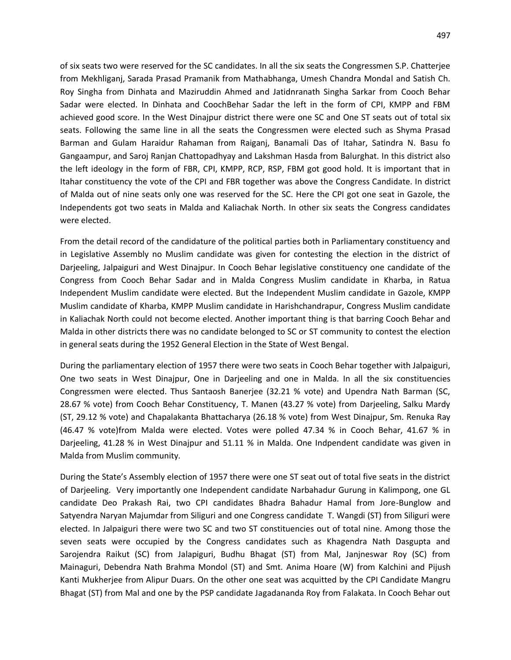of six seats two were reserved for the SC candidates. In all the six seats the Congressmen S.P. Chatterjee from Mekhliganj, Sarada Prasad Pramanik from Mathabhanga, Umesh Chandra Mondal and Satish Ch. Roy Singha from Dinhata and Maziruddin Ahmed and Jatidnranath Singha Sarkar from Cooch Behar Sadar were elected. In Dinhata and CoochBehar Sadar the left in the form of CPI, KMPP and FBM achieved good score. In the West Dinajpur district there were one SC and One ST seats out of total six seats. Following the same line in all the seats the Congressmen were elected such as Shyma Prasad Barman and Gulam Haraidur Rahaman from Raiganj, Banamali Das of Itahar, Satindra N. Basu fo Gangaampur, and Saroj Ranjan Chattopadhyay and Lakshman Hasda from Balurghat. In this district also the left ideology in the form of FBR, CPI, KMPP, RCP, RSP, FBM got good hold. It is important that in Itahar constituency the vote of the CPI and FBR together was above the Congress Candidate. In district of Malda out of nine seats only one was reserved for the SC. Here the CPI got one seat in Gazole, the Independents got two seats in Malda and Kaliachak North. In other six seats the Congress candidates were elected.

From the detail record of the candidature of the political parties both in Parliamentary constituency and in Legislative Assembly no Muslim candidate was given for contesting the election in the district of Darjeeling, Jalpaiguri and West Dinajpur. In Cooch Behar legislative constituency one candidate of the Congress from Cooch Behar Sadar and in Malda Congress Muslim candidate in Kharba, in Ratua Independent Muslim candidate were elected. But the Independent Muslim candidate in Gazole, KMPP Muslim candidate of Kharba, KMPP Muslim candidate in Harishchandrapur, Congress Muslim candidate in Kaliachak North could not become elected. Another important thing is that barring Cooch Behar and Malda in other districts there was no candidate belonged to SC or ST community to contest the election in general seats during the 1952 General Election in the State of West Bengal.

During the parliamentary election of 1957 there were two seats in Cooch Behar together with Jalpaiguri, One two seats in West Dinajpur, One in Darjeeling and one in Malda. In all the six constituencies Congressmen were elected. Thus Santaosh Banerjee (32.21 % vote) and Upendra Nath Barman (SC, 28.67 % vote) from Cooch Behar Constituency, T. Manen (43.27 % vote) from Darjeeling, Salku Mardy (ST, 29.12 % vote) and Chapalakanta Bhattacharya (26.18 % vote) from West Dinajpur, Sm. Renuka Ray (46.47 % vote)from Malda were elected. Votes were polled 47.34 % in Cooch Behar, 41.67 % in Darjeeling, 41.28 % in West Dinajpur and 51.11 % in Malda. One Indpendent candidate was given in Malda from Muslim community.

During the State's Assembly election of 1957 there were one ST seat out of total five seats in the district of Darjeeling. Very importantly one Independent candidate Narbahadur Gurung in Kalimpong, one GL candidate Deo Prakash Rai, two CPI candidates Bhadra Bahadur Hamal from Jore-Bunglow and Satyendra Naryan Majumdar from Siliguri and one Congress candidate T. Wangdi (ST) from Siliguri were elected. In Jalpaiguri there were two SC and two ST constituencies out of total nine. Among those the seven seats were occupied by the Congress candidates such as Khagendra Nath Dasgupta and Sarojendra Raikut (SC) from Jalapiguri, Budhu Bhagat (ST) from Mal, Janjneswar Roy (SC) from Mainaguri, Debendra Nath Brahma Mondol (ST) and Smt. Anima Hoare (W) from Kalchini and Pijush Kanti Mukherjee from Alipur Duars. On the other one seat was acquitted by the CPI Candidate Mangru Bhagat (ST) from Mal and one by the PSP candidate Jagadananda Roy from Falakata. In Cooch Behar out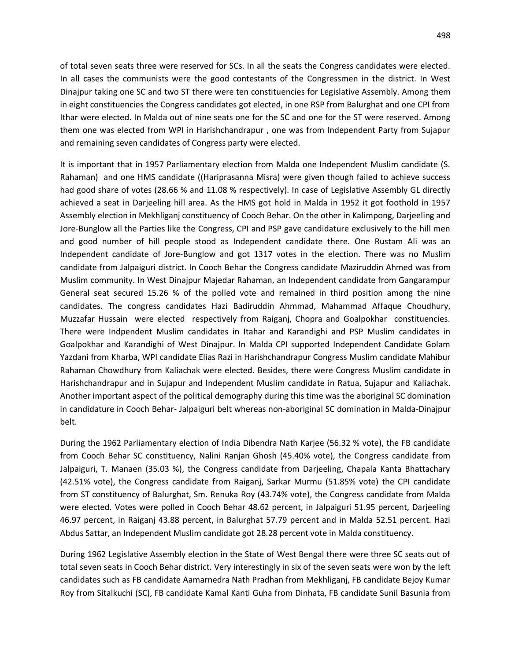of total seven seats three were reserved for SCs. In all the seats the Congress candidates were elected. In all cases the communists were the good contestants of the Congressmen in the district. In West Dinajpur taking one SC and two ST there were ten constituencies for Legislative Assembly. Among them in eight constituencies the Congress candidates got elected, in one RSP from Balurghat and one CPI from Ithar were elected. In Malda out of nine seats one for the SC and one for the ST were reserved. Among them one was elected from WPI in Harishchandrapur , one was from Independent Party from Sujapur and remaining seven candidates of Congress party were elected.

It is important that in 1957 Parliamentary election from Malda one Independent Muslim candidate (S. Rahaman) and one HMS candidate ((Hariprasanna Misra) were given though failed to achieve success had good share of votes (28.66 % and 11.08 % respectively). In case of Legislative Assembly GL directly achieved a seat in Darjeeling hill area. As the HMS got hold in Malda in 1952 it got foothold in 1957 Assembly election in Mekhliganj constituency of Cooch Behar. On the other in Kalimpong, Darjeeling and Jore-Bunglow all the Parties like the Congress, CPI and PSP gave candidature exclusively to the hill men and good number of hill people stood as Independent candidate there. One Rustam Ali was an Independent candidate of Jore-Bunglow and got 1317 votes in the election. There was no Muslim candidate from Jalpaiguri district. In Cooch Behar the Congress candidate Maziruddin Ahmed was from Muslim community. In West Dinajpur Majedar Rahaman, an Independent candidate from Gangarampur General seat secured 15.26 % of the polled vote and remained in third position among the nine candidates. The congress candidates Hazi Badiruddin Ahmmad, Mahammad Affaque Choudhury, Muzzafar Hussain were elected respectively from Raiganj, Chopra and Goalpokhar constituencies. There were Indpendent Muslim candidates in Itahar and Karandighi and PSP Muslim candidates in Goalpokhar and Karandighi of West Dinajpur. In Malda CPI supported Independent Candidate Golam Yazdani from Kharba, WPI candidate Elias Razi in Harishchandrapur Congress Muslim candidate Mahibur Rahaman Chowdhury from Kaliachak were elected. Besides, there were Congress Muslim candidate in Harishchandrapur and in Sujapur and Independent Muslim candidate in Ratua, Sujapur and Kaliachak. Another important aspect of the political demography during this time was the aboriginal SC domination in candidature in Cooch Behar- Jalpaiguri belt whereas non-aboriginal SC domination in Malda-Dinajpur belt.

During the 1962 Parliamentary election of India Dibendra Nath Karjee (56.32 % vote), the FB candidate from Cooch Behar SC constituency, Nalini Ranjan Ghosh (45.40% vote), the Congress candidate from Jalpaiguri, T. Manaen (35.03 %), the Congress candidate from Darjeeling, Chapala Kanta Bhattachary (42.51% vote), the Congress candidate from Raiganj, Sarkar Murmu (51.85% vote) the CPI candidate from ST constituency of Balurghat, Sm. Renuka Roy (43.74% vote), the Congress candidate from Malda were elected. Votes were polled in Cooch Behar 48.62 percent, in Jalpaiguri 51.95 percent, Darjeeling 46.97 percent, in Raiganj 43.88 percent, in Balurghat 57.79 percent and in Malda 52.51 percent. Hazi Abdus Sattar, an Independent Muslim candidate got 28.28 percent vote in Malda constituency.

During 1962 Legislative Assembly election in the State of West Bengal there were three SC seats out of total seven seats in Cooch Behar district. Very interestingly in six of the seven seats were won by the left candidates such as FB candidate Aamarnedra Nath Pradhan from Mekhliganj, FB candidate Bejoy Kumar Roy from Sitalkuchi (SC), FB candidate Kamal Kanti Guha from Dinhata, FB candidate Sunil Basunia from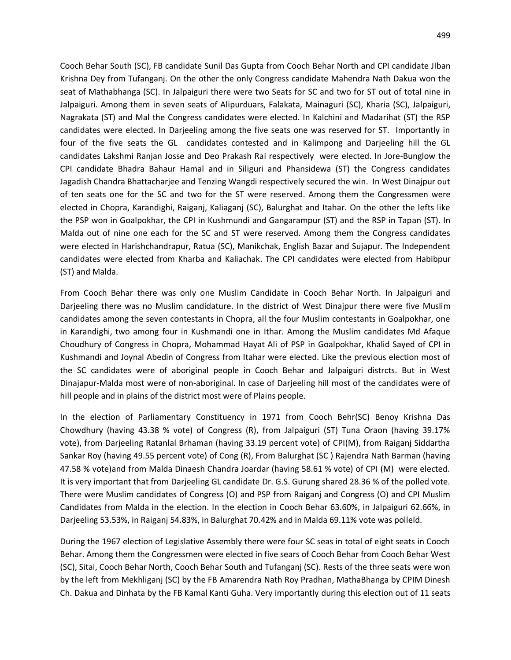Cooch Behar South (SC), FB candidate Sunil Das Gupta from Cooch Behar North and CPI candidate JIban Krishna Dey from Tufanganj. On the other the only Congress candidate Mahendra Nath Dakua won the seat of Mathabhanga (SC). In Jalpaiguri there were two Seats for SC and two for ST out of total nine in Jalpaiguri. Among them in seven seats of Alipurduars, Falakata, Mainaguri (SC), Kharia (SC), Jalpaiguri, Nagrakata (ST) and Mal the Congress candidates were elected. In Kalchini and Madarihat (ST) the RSP candidates were elected. In Darjeeling among the five seats one was reserved for ST. Importantly in four of the five seats the GL candidates contested and in Kalimpong and Darjeeling hill the GL candidates Lakshmi Ranjan Josse and Deo Prakash Rai respectively were elected. In Jore-Bunglow the CPI candidate Bhadra Bahaur Hamal and in Siliguri and Phansidewa (ST) the Congress candidates Jagadish Chandra Bhattacharjee and Tenzing Wangdi respectively secured the win. In West Dinajpur out of ten seats one for the SC and two for the ST were reserved. Among them the Congressmen were elected in Chopra, Karandighi, Raiganj, Kaliaganj (SC), Balurghat and Itahar. On the other the lefts like the PSP won in Goalpokhar, the CPI in Kushmundi and Gangarampur (ST) and the RSP in Tapan (ST). In Malda out of nine one each for the SC and ST were reserved. Among them the Congress candidates were elected in Harishchandrapur, Ratua (SC), Manikchak, English Bazar and Sujapur. The Independent candidates were elected from Kharba and Kaliachak. The CPI candidates were elected from Habibpur (ST) and Malda.

From Cooch Behar there was only one Muslim Candidate in Cooch Behar North. In Jalpaiguri and Darjeeling there was no Muslim candidature. In the district of West Dinajpur there were five Muslim candidates among the seven contestants in Chopra, all the four Muslim contestants in Goalpokhar, one in Karandighi, two among four in Kushmandi one in Ithar. Among the Muslim candidates Md Afaque Choudhury of Congress in Chopra, Mohammad Hayat Ali of PSP in Goalpokhar, Khalid Sayed of CPI in Kushmandi and Joynal Abedin of Congress from Itahar were elected. Like the previous election most of the SC candidates were of aboriginal people in Cooch Behar and Jalpaiguri distrcts. But in West Dinajapur-Malda most were of non-aboriginal. In case of Darjeeling hill most of the candidates were of hill people and in plains of the district most were of Plains people.

In the election of Parliamentary Constituency in 1971 from Cooch Behr(SC) Benoy Krishna Das Chowdhury (having 43.38 % vote) of Congress (R), from Jalpaiguri (ST) Tuna Oraon (having 39.17% vote), from Darjeeling Ratanlal Brhaman (having 33.19 percent vote) of CPI(M), from Raiganj Siddartha Sankar Roy (having 49.55 percent vote) of Cong (R), From Balurghat (SC ) Rajendra Nath Barman (having 47.58 % vote)and from Malda Dinaesh Chandra Joardar (having 58.61 % vote) of CPI (M) were elected. It is very important that from Darjeeling GL candidate Dr. G.S. Gurung shared 28.36 % of the polled vote. There were Muslim candidates of Congress (O) and PSP from Raiganj and Congress (O) and CPI Muslim Candidates from Malda in the election. In the election in Cooch Behar 63.60%, in Jalpaiguri 62.66%, in Darjeeling 53.53%, in Raiganj 54.83%, in Balurghat 70.42% and in Malda 69.11% vote was polleld.

During the 1967 election of Legislative Assembly there were four SC seas in total of eight seats in Cooch Behar. Among them the Congressmen were elected in five sears of Cooch Behar from Cooch Behar West (SC), Sitai, Cooch Behar North, Cooch Behar South and Tufanganj (SC). Rests of the three seats were won by the left from Mekhliganj (SC) by the FB Amarendra Nath Roy Pradhan, MathaBhanga by CPIM Dinesh Ch. Dakua and Dinhata by the FB Kamal Kanti Guha. Very importantly during this election out of 11 seats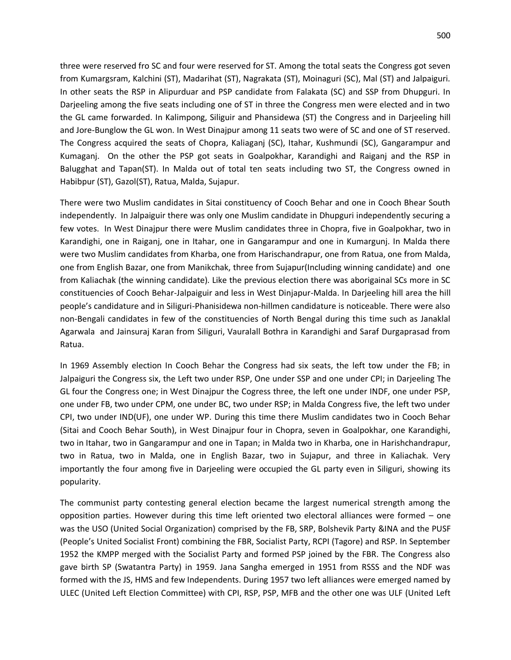three were reserved fro SC and four were reserved for ST. Among the total seats the Congress got seven from Kumargsram, Kalchini (ST), Madarihat (ST), Nagrakata (ST), Moinaguri (SC), Mal (ST) and Jalpaiguri. In other seats the RSP in Alipurduar and PSP candidate from Falakata (SC) and SSP from Dhupguri. In Darjeeling among the five seats including one of ST in three the Congress men were elected and in two the GL came forwarded. In Kalimpong, Siliguir and Phansidewa (ST) the Congress and in Darjeeling hill and Jore-Bunglow the GL won. In West Dinajpur among 11 seats two were of SC and one of ST reserved. The Congress acquired the seats of Chopra, Kaliaganj (SC), Itahar, Kushmundi (SC), Gangarampur and Kumaganj. On the other the PSP got seats in Goalpokhar, Karandighi and Raiganj and the RSP in Balugghat and Tapan(ST). In Malda out of total ten seats including two ST, the Congress owned in Habibpur (ST), Gazol(ST), Ratua, Malda, Sujapur.

There were two Muslim candidates in Sitai constituency of Cooch Behar and one in Cooch Bhear South independently. In Jalpaiguir there was only one Muslim candidate in Dhupguri independently securing a few votes. In West Dinajpur there were Muslim candidates three in Chopra, five in Goalpokhar, two in Karandighi, one in Raiganj, one in Itahar, one in Gangarampur and one in Kumargunj. In Malda there were two Muslim candidates from Kharba, one from Harischandrapur, one from Ratua, one from Malda, one from English Bazar, one from Manikchak, three from Sujapur(Including winning candidate) and one from Kaliachak (the winning candidate). Like the previous election there was aborigainal SCs more in SC constituencies of Cooch Behar-Jalpaiguir and less in West Dinjapur-Malda. In Darjeeling hill area the hill people's candidature and in Siliguri-Phanisidewa non-hillmen candidature is noticeable. There were also non-Bengali candidates in few of the constituencies of North Bengal during this time such as Janaklal Agarwala and Jainsuraj Karan from Siliguri, Vauralall Bothra in Karandighi and Saraf Durgaprasad from Ratua.

In 1969 Assembly election In Cooch Behar the Congress had six seats, the left tow under the FB; in Jalpaiguri the Congress six, the Left two under RSP, One under SSP and one under CPI; in Darjeeling The GL four the Congress one; in West Dinajpur the Cogress three, the left one under INDF, one under PSP, one under FB, two under CPM, one under BC, two under RSP; in Malda Congress five, the left two under CPI, two under IND(UF), one under WP. During this time there Muslim candidates two in Cooch Behar (Sitai and Cooch Behar South), in West Dinajpur four in Chopra, seven in Goalpokhar, one Karandighi, two in Itahar, two in Gangarampur and one in Tapan; in Malda two in Kharba, one in Harishchandrapur, two in Ratua, two in Malda, one in English Bazar, two in Sujapur, and three in Kaliachak. Very importantly the four among five in Darjeeling were occupied the GL party even in Siliguri, showing its popularity.

The communist party contesting general election became the largest numerical strength among the opposition parties. However during this time left oriented two electoral alliances were formed – one was the USO (United Social Organization) comprised by the FB, SRP, Bolshevik Party &INA and the PUSF (People's United Socialist Front) combining the FBR, Socialist Party, RCPI (Tagore) and RSP. In September 1952 the KMPP merged with the Socialist Party and formed PSP joined by the FBR. The Congress also gave birth SP (Swatantra Party) in 1959. Jana Sangha emerged in 1951 from RSSS and the NDF was formed with the JS, HMS and few Independents. During 1957 two left alliances were emerged named by ULEC (United Left Election Committee) with CPI, RSP, PSP, MFB and the other one was ULF (United Left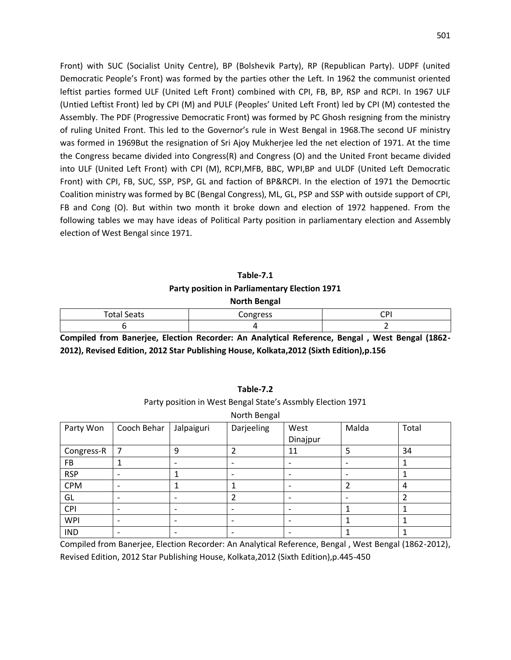Front) with SUC (Socialist Unity Centre), BP (Bolshevik Party), RP (Republican Party). UDPF (united Democratic People's Front) was formed by the parties other the Left. In 1962 the communist oriented leftist parties formed ULF (United Left Front) combined with CPI, FB, BP, RSP and RCPI. In 1967 ULF (Untied Leftist Front) led by CPI (M) and PULF (Peoples' United Left Front) led by CPI (M) contested the Assembly. The PDF (Progressive Democratic Front) was formed by PC Ghosh resigning from the ministry of ruling United Front. This led to the Governor's rule in West Bengal in 1968.The second UF ministry was formed in 1969But the resignation of Sri Ajoy Mukherjee led the net election of 1971. At the time the Congress became divided into Congress(R) and Congress (O) and the United Front became divided into ULF (United Left Front) with CPI (M), RCPI,MFB, BBC, WPI,BP and ULDF (United Left Democratic Front) with CPI, FB, SUC, SSP, PSP, GL and faction of BP&RCPI. In the election of 1971 the Democrtic Coalition ministry was formed by BC (Bengal Congress), ML, GL, PSP and SSP with outside support of CPI, FB and Cong (O). But within two month it broke down and election of 1972 happened. From the following tables we may have ideas of Political Party position in parliamentary election and Assembly election of West Bengal since 1971.

# **Table-7.1 Party position in Parliamentary Election 1971 North Bengal**

| otal S<br>oeats۔ | $-$<br>,,,,, | -- |
|------------------|--------------|----|
|                  |              |    |

**Compiled from Banerjee, Election Recorder: An Analytical Reference, Bengal , West Bengal (1862- 2012), Revised Edition, 2012 Star Publishing House, Kolkata,2012 (Sixth Edition),p.156** 

|            |                          |                          | North Bengal             |                          |       |       |
|------------|--------------------------|--------------------------|--------------------------|--------------------------|-------|-------|
| Party Won  | Cooch Behar              | Jalpaiguri               | Darjeeling               | West<br>Dinajpur         | Malda | Total |
|            |                          |                          |                          |                          |       |       |
| Congress-R | 7                        | 9                        | 2                        | 11                       | 5     | 34    |
| <b>FB</b>  |                          |                          |                          | $\overline{\phantom{0}}$ |       |       |
| <b>RSP</b> |                          |                          |                          |                          |       |       |
| <b>CPM</b> | ۰                        | 1                        |                          |                          | 2     | 4     |
| GL         | ۰                        |                          | 2                        | $\overline{\phantom{0}}$ |       | 2     |
| CPI        | $\overline{\phantom{a}}$ | $\overline{\phantom{a}}$ | $\overline{\phantom{0}}$ | $\overline{\phantom{a}}$ |       |       |
| <b>WPI</b> | ۰                        |                          |                          |                          |       |       |
| <b>IND</b> |                          |                          |                          |                          |       |       |

# **Table-7.2** Party position in West Bengal State's Assmbly Election 1971

Compiled from Banerjee, Election Recorder: An Analytical Reference, Bengal , West Bengal (1862-2012), Revised Edition, 2012 Star Publishing House, Kolkata,2012 (Sixth Edition),p.445-450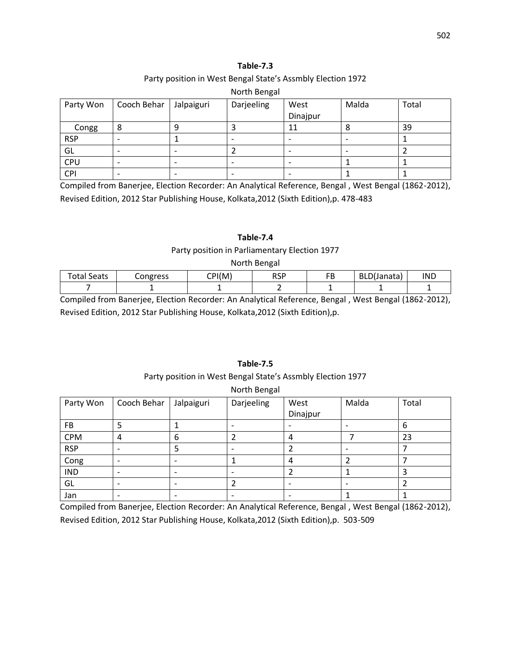## Party position in West Bengal State's Assmbly Election 1972

## North Bengal

| Party Won  | Cooch Behar              | Jalpaiguri | Darjeeling | West     | Malda | Total |
|------------|--------------------------|------------|------------|----------|-------|-------|
|            |                          |            |            | Dinajpur |       |       |
| Congg      | 8                        |            |            | 11       |       | 39    |
| <b>RSP</b> |                          |            |            |          |       |       |
| GL         | $\overline{\phantom{0}}$ |            |            |          |       |       |
| <b>CPU</b> | $\overline{\phantom{0}}$ |            |            |          |       |       |
| CPI        |                          |            |            |          |       |       |

Compiled from Banerjee, Election Recorder: An Analytical Reference, Bengal , West Bengal (1862-2012), Revised Edition, 2012 Star Publishing House, Kolkata,2012 (Sixth Edition),p. 478-483

## **Table-7.4**

#### Party position in Parliamentary Election 1977

#### North Bengal

| <b>Total Seats</b> | Congress | CPI(M) | <b>RSP</b> | гn<br>◡ | $\mathsf{min}$<br>BLD(Janata) | <b>IND</b> |
|--------------------|----------|--------|------------|---------|-------------------------------|------------|
|                    |          |        |            |         |                               |            |

Compiled from Banerjee, Election Recorder: An Analytical Reference, Bengal , West Bengal (1862-2012), Revised Edition, 2012 Star Publishing House, Kolkata,2012 (Sixth Edition),p.

## **Table-7.5**

#### Party position in West Bengal State's Assmbly Election 1977

#### North Bengal

| Party Won  | Cooch Behar | Jalpaiguri | Darjeeling | West     | Malda | Total |
|------------|-------------|------------|------------|----------|-------|-------|
|            |             |            |            | Dinajpur |       |       |
| <b>FB</b>  |             |            |            |          |       | 6     |
| <b>CPM</b> | 4           | 6          |            | 4        |       | 23    |
| <b>RSP</b> |             |            |            |          |       |       |
| Cong       |             |            |            |          |       |       |
| <b>IND</b> |             |            |            |          |       |       |
| GL         |             |            |            |          |       |       |
| Jan        |             |            |            |          |       |       |

Compiled from Banerjee, Election Recorder: An Analytical Reference, Bengal , West Bengal (1862-2012), Revised Edition, 2012 Star Publishing House, Kolkata,2012 (Sixth Edition),p. 503-509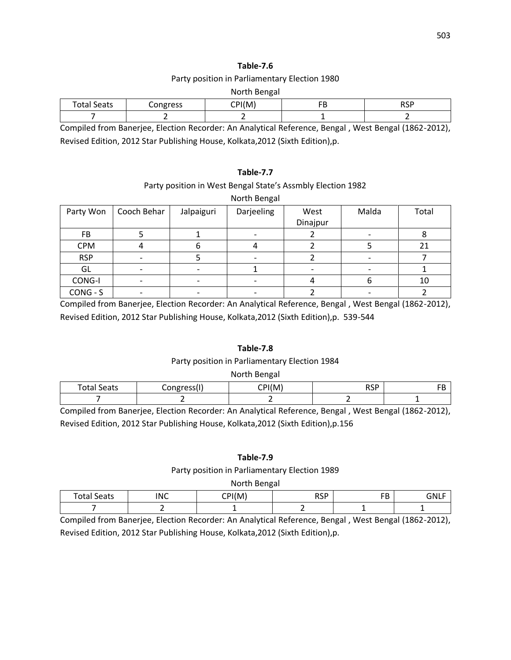### Party position in Parliamentary Election 1980

#### North Bengal

| $T_{\alpha}$ tou<br>$\sim$ $\sim$ $\sim$<br>วeaเร<br>ાતા | ongress | 'М<br>$\sim$ ni/ | - -<br>. . | ncr<br>ישיי |
|----------------------------------------------------------|---------|------------------|------------|-------------|
|                                                          |         |                  |            |             |

Compiled from Banerjee, Election Recorder: An Analytical Reference, Bengal , West Bengal (1862-2012), Revised Edition, 2012 Star Publishing House, Kolkata,2012 (Sixth Edition),p.

## **Table-7.7**

## Party position in West Bengal State's Assmbly Election 1982

|            |             |            | North Bengal |          |       |       |
|------------|-------------|------------|--------------|----------|-------|-------|
| Party Won  | Cooch Behar | Jalpaiguri | Darjeeling   | West     | Malda | Total |
|            |             |            |              | Dinajpur |       |       |
| FB         |             |            |              |          |       |       |
| <b>CPM</b> |             | h          |              |          |       | 21    |
| <b>RSP</b> |             |            |              |          |       |       |
| GL         |             |            |              |          |       |       |
| CONG-I     |             |            |              |          |       | 10    |
| CONG - S   |             |            |              |          |       |       |

Compiled from Banerjee, Election Recorder: An Analytical Reference, Bengal , West Bengal (1862-2012), Revised Edition, 2012 Star Publishing House, Kolkata,2012 (Sixth Edition),p. 539-544

## **Table-7.8**

## Party position in Parliamentary Election 1984

#### North Bengal

| Tota <sub>1</sub><br>Seats | .<br>$\sim$<br>$\scriptscriptstyle\sim$ | M<br>$\tilde{}$ | pcp<br>. .<br>ື |  |
|----------------------------|-----------------------------------------|-----------------|-----------------|--|
|                            |                                         |                 |                 |  |

Compiled from Banerjee, Election Recorder: An Analytical Reference, Bengal , West Bengal (1862-2012), Revised Edition, 2012 Star Publishing House, Kolkata,2012 (Sixth Edition),p.156

## **Table-7.9**

#### Party position in Parliamentary Election 1989

North Bengal

| otal<br>Seats                 | INIC                                          | CDI(MA) | <b>RSP</b>       | <b>CD</b><br>◡                | .                |
|-------------------------------|-----------------------------------------------|---------|------------------|-------------------------------|------------------|
|                               |                                               |         |                  |                               |                  |
| $\sim$<br>$\cdot$ .<br>$\sim$ | $-1$<br>$\overline{\phantom{a}}$<br>$\cdot$ . | .       | $\sim$<br>$\sim$ | .<br>$\overline{\phantom{a}}$ | $\left  \right $ |

Compiled from Banerjee, Election Recorder: An Analytical Reference, Bengal , West Bengal (1862-2012), Revised Edition, 2012 Star Publishing House, Kolkata,2012 (Sixth Edition),p.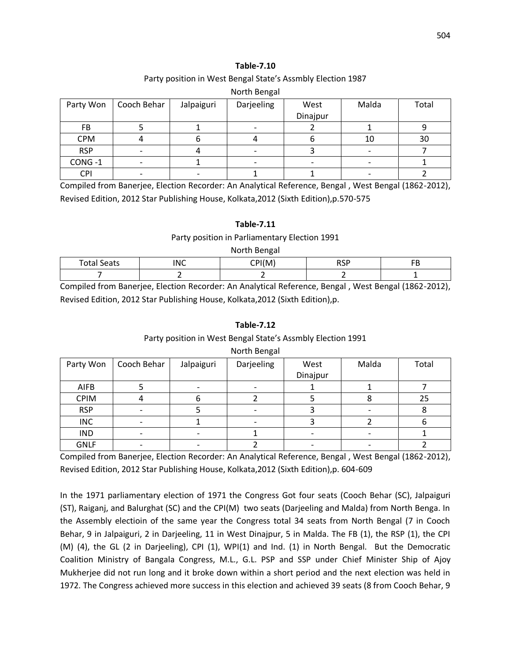## Party position in West Bengal State's Assmbly Election 1987

#### North Bengal

| Party Won  | Cooch Behar | Jalpaiguri | Darjeeling | West     | Malda | Total |
|------------|-------------|------------|------------|----------|-------|-------|
|            |             |            |            | Dinajpur |       |       |
| FB         |             |            |            |          |       |       |
| <b>CPM</b> |             |            |            |          | 10    | 30    |
| <b>RSP</b> |             |            |            |          |       |       |
| CONG-1     |             |            |            |          |       |       |
| <b>CPI</b> |             |            |            |          |       |       |

Compiled from Banerjee, Election Recorder: An Analytical Reference, Bengal , West Bengal (1862-2012), Revised Edition, 2012 Star Publishing House, Kolkata,2012 (Sixth Edition),p.570-575

## **Table-7.11**

#### Party position in Parliamentary Election 1991

North Bengal

| Tota.<br>$\overline{\phantom{a}}$<br>Seats | חוחו<br>∼ | CDI(0,0) | ncn<br>יש. | $-1$ |
|--------------------------------------------|-----------|----------|------------|------|
|                                            |           |          |            |      |

Compiled from Banerjee, Election Recorder: An Analytical Reference, Bengal , West Bengal (1862-2012), Revised Edition, 2012 Star Publishing House, Kolkata,2012 (Sixth Edition),p.

## **Table-7.12**

## Party position in West Bengal State's Assmbly Election 1991

| Party Won   | Cooch Behar | Jalpaiguri | Darjeeling | West     | Malda | Total |
|-------------|-------------|------------|------------|----------|-------|-------|
|             |             |            |            | Dinajpur |       |       |
| AIFB        |             |            |            |          |       |       |
| <b>CPIM</b> |             |            |            |          |       | 25    |
| <b>RSP</b>  |             |            |            |          |       |       |
| <b>INC</b>  |             |            |            |          |       |       |
| <b>IND</b>  |             |            |            |          |       |       |
| <b>GNLF</b> |             |            |            |          |       |       |

## North Bengal

Compiled from Banerjee, Election Recorder: An Analytical Reference, Bengal , West Bengal (1862-2012), Revised Edition, 2012 Star Publishing House, Kolkata,2012 (Sixth Edition),p. 604-609

In the 1971 parliamentary election of 1971 the Congress Got four seats (Cooch Behar (SC), Jalpaiguri (ST), Raiganj, and Balurghat (SC) and the CPI(M) two seats (Darjeeling and Malda) from North Benga. In the Assembly electioin of the same year the Congress total 34 seats from North Bengal (7 in Cooch Behar, 9 in Jalpaiguri, 2 in Darjeeling, 11 in West Dinajpur, 5 in Malda. The FB (1), the RSP (1), the CPI (M) (4), the GL (2 in Darjeeling), CPI (1), WPI(1) and Ind. (1) in North Bengal. But the Democratic Coalition Ministry of Bangala Congress, M.L., G.L. PSP and SSP under Chief Minister Ship of Ajoy Mukherjee did not run long and it broke down within a short period and the next election was held in 1972. The Congress achieved more success in this election and achieved 39 seats (8 from Cooch Behar, 9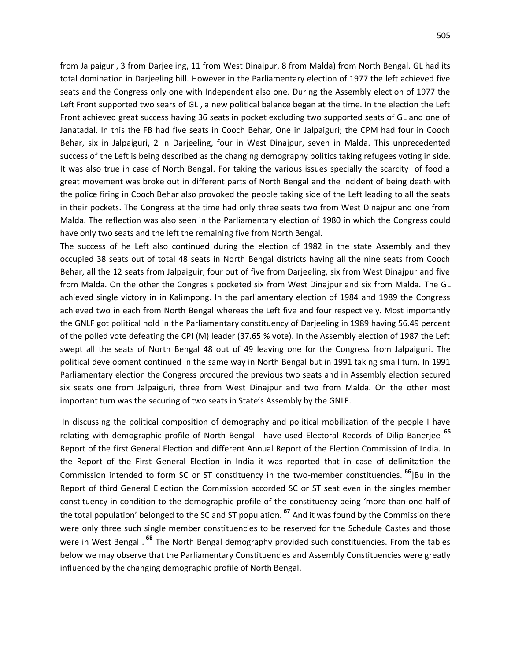from Jalpaiguri, 3 from Darjeeling, 11 from West Dinajpur, 8 from Malda) from North Bengal. GL had its total domination in Darjeeling hill. However in the Parliamentary election of 1977 the left achieved five seats and the Congress only one with Independent also one. During the Assembly election of 1977 the Left Front supported two sears of GL , a new political balance began at the time. In the election the Left Front achieved great success having 36 seats in pocket excluding two supported seats of GL and one of Janatadal. In this the FB had five seats in Cooch Behar, One in Jalpaiguri; the CPM had four in Cooch Behar, six in Jalpaiguri, 2 in Darjeeling, four in West Dinajpur, seven in Malda. This unprecedented success of the Left is being described as the changing demography politics taking refugees voting in side. It was also true in case of North Bengal. For taking the various issues specially the scarcity of food a great movement was broke out in different parts of North Bengal and the incident of being death with the police firing in Cooch Behar also provoked the people taking side of the Left leading to all the seats in their pockets. The Congress at the time had only three seats two from West Dinajpur and one from Malda. The reflection was also seen in the Parliamentary election of 1980 in which the Congress could have only two seats and the left the remaining five from North Bengal.

The success of he Left also continued during the election of 1982 in the state Assembly and they occupied 38 seats out of total 48 seats in North Bengal districts having all the nine seats from Cooch Behar, all the 12 seats from Jalpaiguir, four out of five from Darjeeling, six from West Dinajpur and five from Malda. On the other the Congres s pocketed six from West Dinajpur and six from Malda. The GL achieved single victory in in Kalimpong. In the parliamentary election of 1984 and 1989 the Congress achieved two in each from North Bengal whereas the Left five and four respectively. Most importantly the GNLF got political hold in the Parliamentary constituency of Darjeeling in 1989 having 56.49 percent of the polled vote defeating the CPI (M) leader (37.65 % vote). In the Assembly election of 1987 the Left swept all the seats of North Bengal 48 out of 49 leaving one for the Congress from Jalpaiguri. The political development continued in the same way in North Bengal but in 1991 taking small turn. In 1991 Parliamentary election the Congress procured the previous two seats and in Assembly election secured six seats one from Jalpaiguri, three from West Dinajpur and two from Malda. On the other most important turn was the securing of two seats in State's Assembly by the GNLF.

In discussing the political composition of demography and political mobilization of the people I have relating with demographic profile of North Bengal I have used Electoral Records of Dilip Banerjee **<sup>65</sup>** Report of the first General Election and different Annual Report of the Election Commission of India. In the Report of the First General Election in India it was reported that in case of delimitation the Commission intended to form SC or ST constituency in the two-member constituencies. **<sup>66</sup>**]Bu in the Report of third General Election the Commission accorded SC or ST seat even in the singles member constituency in condition to the demographic profile of the constituency being 'more than one half of the total population' belonged to the SC and ST population. **<sup>67</sup>** And it was found by the Commission there were only three such single member constituencies to be reserved for the Schedule Castes and those were in West Bengal . **<sup>68</sup>** The North Bengal demography provided such constituencies. From the tables below we may observe that the Parliamentary Constituencies and Assembly Constituencies were greatly influenced by the changing demographic profile of North Bengal.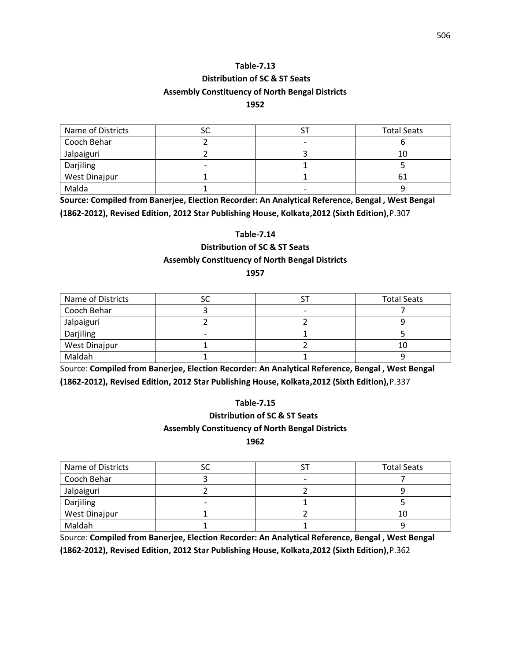# **Distribution of SC & ST Seats Assembly Constituency of North Bengal Districts**

## **1952**

| Name of Districts |                          | <b>Total Seats</b> |
|-------------------|--------------------------|--------------------|
| Cooch Behar       | $\overline{\phantom{0}}$ |                    |
| Jalpaiguri        |                          | 10                 |
| Darjiling         |                          |                    |
| West Dinajpur     |                          |                    |
| Malda             | $\overline{\phantom{0}}$ |                    |

**Source: Compiled from Banerjee, Election Recorder: An Analytical Reference, Bengal , West Bengal (1862-2012), Revised Edition, 2012 Star Publishing House, Kolkata,2012 (Sixth Edition),**P.307

## **Table-7.14**

**Distribution of SC & ST Seats** 

## **Assembly Constituency of North Bengal Districts**

## **1957**

| Name of Districts    |  | <b>Total Seats</b> |
|----------------------|--|--------------------|
| Cooch Behar          |  |                    |
| Jalpaiguri           |  |                    |
| Darjiling            |  |                    |
| <b>West Dinajpur</b> |  | 10                 |
| Maldah               |  |                    |

Source: **Compiled from Banerjee, Election Recorder: An Analytical Reference, Bengal , West Bengal (1862-2012), Revised Edition, 2012 Star Publishing House, Kolkata,2012 (Sixth Edition),**P.337

## **Table-7.15**

# **Distribution of SC & ST Seats**

## **Assembly Constituency of North Bengal Districts**

**1962**

| Name of Districts |  | <b>Total Seats</b> |
|-------------------|--|--------------------|
| Cooch Behar       |  |                    |
| Jalpaiguri        |  |                    |
| Darjiling         |  |                    |
| West Dinajpur     |  | 10                 |
| Maldah            |  |                    |

Source: **Compiled from Banerjee, Election Recorder: An Analytical Reference, Bengal , West Bengal (1862-2012), Revised Edition, 2012 Star Publishing House, Kolkata,2012 (Sixth Edition),**P.362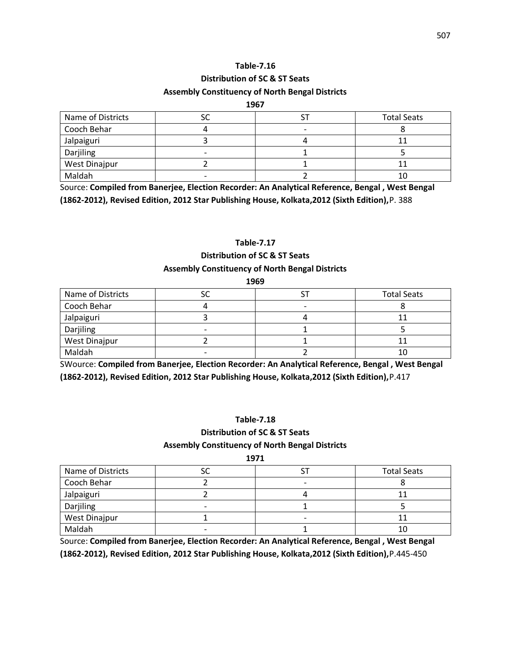## **Distribution of SC & ST Seats Assembly Constituency of North Bengal Districts**

#### **1967**

| Name of Districts | ┘ | <b>Total Seats</b> |
|-------------------|---|--------------------|
| Cooch Behar       |   |                    |
| Jalpaiguri        |   |                    |
| Darjiling         |   |                    |
| West Dinajpur     |   |                    |
| Maldah            |   | 10                 |

Source: **Compiled from Banerjee, Election Recorder: An Analytical Reference, Bengal , West Bengal (1862-2012), Revised Edition, 2012 Star Publishing House, Kolkata,2012 (Sixth Edition),**P. 388

## **Table-7.17**

# **Distribution of SC & ST Seats**

## **Assembly Constituency of North Bengal Districts**

| 1969              |  |  |                    |
|-------------------|--|--|--------------------|
| Name of Districts |  |  | <b>Total Seats</b> |
| Cooch Behar       |  |  |                    |
| Jalpaiguri        |  |  |                    |
| Darjiling         |  |  |                    |
| West Dinajpur     |  |  |                    |
| Maldah            |  |  |                    |

SWource: **Compiled from Banerjee, Election Recorder: An Analytical Reference, Bengal , West Bengal (1862-2012), Revised Edition, 2012 Star Publishing House, Kolkata,2012 (Sixth Edition),**P.417

## **Table-7.18**

# **Distribution of SC & ST Seats**

## **Assembly Constituency of North Bengal Districts**

| ×<br>۰. |  |  |
|---------|--|--|
|---------|--|--|

| Name of Districts | ັ                        | <b>Total Seats</b> |
|-------------------|--------------------------|--------------------|
| Cooch Behar       |                          |                    |
| Jalpaiguri        |                          |                    |
| Darjiling         |                          |                    |
| West Dinajpur     | $\overline{\phantom{0}}$ |                    |
| Maldah            |                          |                    |

Source: **Compiled from Banerjee, Election Recorder: An Analytical Reference, Bengal , West Bengal (1862-2012), Revised Edition, 2012 Star Publishing House, Kolkata,2012 (Sixth Edition),**P.445-450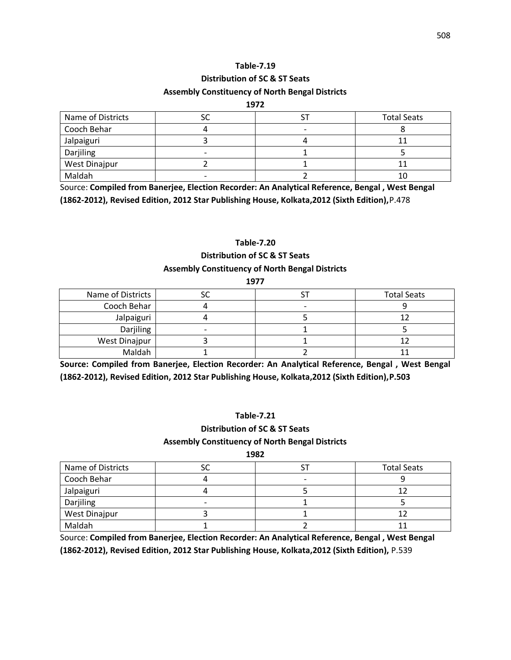# **Distribution of SC & ST Seats Assembly Constituency of North Bengal Districts**

#### **1972**

| Name of Districts | J | <b>Total Seats</b> |
|-------------------|---|--------------------|
| Cooch Behar       |   |                    |
| Jalpaiguri        |   |                    |
| Darjiling         |   |                    |
| West Dinajpur     |   |                    |
| Maldah            |   | 10                 |

Source: **Compiled from Banerjee, Election Recorder: An Analytical Reference, Bengal , West Bengal (1862-2012), Revised Edition, 2012 Star Publishing House, Kolkata,2012 (Sixth Edition),**P.478

## **Table-7.20**

# **Distribution of SC & ST Seats**

## **Assembly Constituency of North Bengal Districts**

| 1977              |  |  |                    |
|-------------------|--|--|--------------------|
| Name of Districts |  |  | <b>Total Seats</b> |
| Cooch Behar       |  |  |                    |
| Jalpaiguri        |  |  |                    |
| Darjiling         |  |  |                    |
| West Dinajpur     |  |  |                    |
| Maldah            |  |  |                    |

**Source: Compiled from Banerjee, Election Recorder: An Analytical Reference, Bengal , West Bengal (1862-2012), Revised Edition, 2012 Star Publishing House, Kolkata,2012 (Sixth Edition),P.503**

## **Table-7.21**

# **Distribution of SC & ST Seats**

## **Assembly Constituency of North Bengal Districts**

#### **1982**

| Name of Districts |  | <b>Total Seats</b> |
|-------------------|--|--------------------|
| Cooch Behar       |  |                    |
| Jalpaiguri        |  |                    |
| Darjiling         |  |                    |
| West Dinajpur     |  |                    |
| Maldah            |  |                    |

Source: **Compiled from Banerjee, Election Recorder: An Analytical Reference, Bengal , West Bengal (1862-2012), Revised Edition, 2012 Star Publishing House, Kolkata,2012 (Sixth Edition),** P.539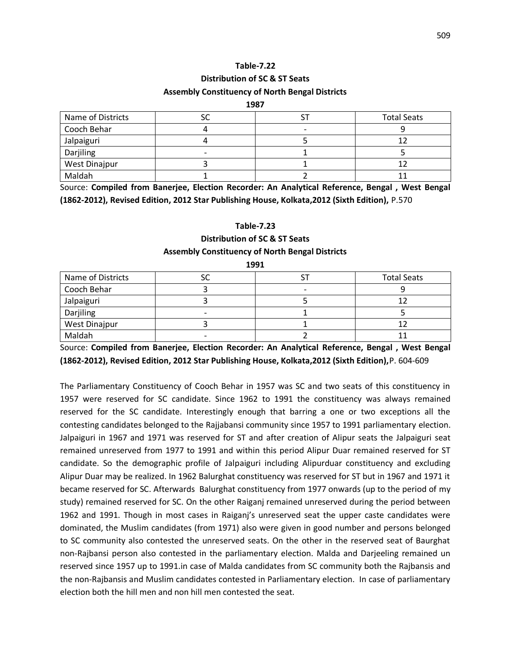# **Distribution of SC & ST Seats Assembly Constituency of North Bengal Districts**

#### **1987**

| Name of Districts |  | <b>Total Seats</b> |
|-------------------|--|--------------------|
| Cooch Behar       |  |                    |
| Jalpaiguri        |  |                    |
| Darjiling         |  |                    |
| West Dinajpur     |  |                    |
| Maldah            |  |                    |

Source: **Compiled from Banerjee, Election Recorder: An Analytical Reference, Bengal , West Bengal (1862-2012), Revised Edition, 2012 Star Publishing House, Kolkata,2012 (Sixth Edition),** P.570

#### **Table-7.23**

## **Distribution of SC & ST Seats**

## **Assembly Constituency of North Bengal Districts 1991**

| ----              |    |  |                    |  |
|-------------------|----|--|--------------------|--|
| Name of Districts | ںد |  | <b>Total Seats</b> |  |
| Cooch Behar       |    |  |                    |  |
| Jalpaiguri        |    |  |                    |  |
| Darjiling         |    |  |                    |  |
| West Dinajpur     |    |  |                    |  |
| Maldah            |    |  |                    |  |

Source: **Compiled from Banerjee, Election Recorder: An Analytical Reference, Bengal , West Bengal (1862-2012), Revised Edition, 2012 Star Publishing House, Kolkata,2012 (Sixth Edition),**P. 604-609

The Parliamentary Constituency of Cooch Behar in 1957 was SC and two seats of this constituency in 1957 were reserved for SC candidate. Since 1962 to 1991 the constituency was always remained reserved for the SC candidate. Interestingly enough that barring a one or two exceptions all the contesting candidates belonged to the Rajjabansi community since 1957 to 1991 parliamentary election. Jalpaiguri in 1967 and 1971 was reserved for ST and after creation of Alipur seats the Jalpaiguri seat remained unreserved from 1977 to 1991 and within this period Alipur Duar remained reserved for ST candidate. So the demographic profile of Jalpaiguri including Alipurduar constituency and excluding Alipur Duar may be realized. In 1962 Balurghat constituency was reserved for ST but in 1967 and 1971 it became reserved for SC. Afterwards Balurghat constituency from 1977 onwards (up to the period of my study) remained reserved for SC. On the other Raiganj remained unreserved during the period between 1962 and 1991. Though in most cases in Raiganj's unreserved seat the upper caste candidates were dominated, the Muslim candidates (from 1971) also were given in good number and persons belonged to SC community also contested the unreserved seats. On the other in the reserved seat of Baurghat non-Rajbansi person also contested in the parliamentary election. Malda and Darjeeling remained un reserved since 1957 up to 1991.in case of Malda candidates from SC community both the Rajbansis and the non-Rajbansis and Muslim candidates contested in Parliamentary election. In case of parliamentary election both the hill men and non hill men contested the seat.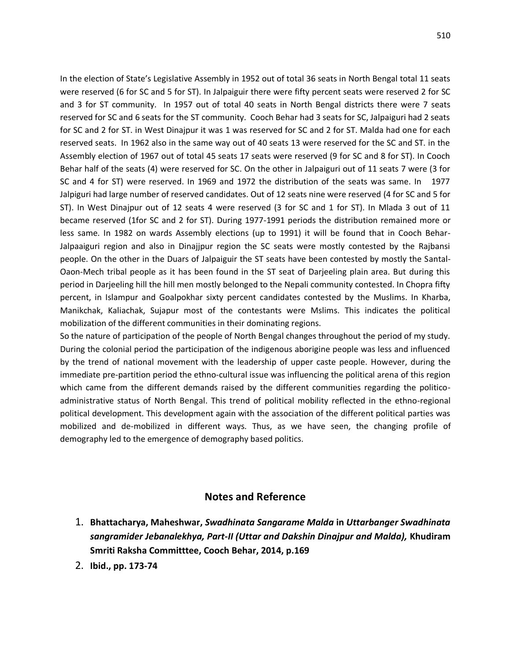In the election of State's Legislative Assembly in 1952 out of total 36 seats in North Bengal total 11 seats were reserved (6 for SC and 5 for ST). In Jalpaiguir there were fifty percent seats were reserved 2 for SC and 3 for ST community. In 1957 out of total 40 seats in North Bengal districts there were 7 seats reserved for SC and 6 seats for the ST community. Cooch Behar had 3 seats for SC, Jalpaiguri had 2 seats for SC and 2 for ST. in West Dinajpur it was 1 was reserved for SC and 2 for ST. Malda had one for each reserved seats. In 1962 also in the same way out of 40 seats 13 were reserved for the SC and ST. in the Assembly election of 1967 out of total 45 seats 17 seats were reserved (9 for SC and 8 for ST). In Cooch Behar half of the seats (4) were reserved for SC. On the other in Jalpaiguri out of 11 seats 7 were (3 for SC and 4 for ST) were reserved. In 1969 and 1972 the distribution of the seats was same. In 1977 Jalpiguri had large number of reserved candidates. Out of 12 seats nine were reserved (4 for SC and 5 for ST). In West Dinajpur out of 12 seats 4 were reserved (3 for SC and 1 for ST). In Mlada 3 out of 11 became reserved (1for SC and 2 for ST). During 1977-1991 periods the distribution remained more or less same. In 1982 on wards Assembly elections (up to 1991) it will be found that in Cooch Behar-Jalpaaiguri region and also in Dinajjpur region the SC seats were mostly contested by the Rajbansi people. On the other in the Duars of Jalpaiguir the ST seats have been contested by mostly the Santal-Oaon-Mech tribal people as it has been found in the ST seat of Darjeeling plain area. But during this period in Darjeeling hill the hill men mostly belonged to the Nepali community contested. In Chopra fifty percent, in Islampur and Goalpokhar sixty percent candidates contested by the Muslims. In Kharba, Manikchak, Kaliachak, Sujapur most of the contestants were Mslims. This indicates the political mobilization of the different communities in their dominating regions.

So the nature of participation of the people of North Bengal changes throughout the period of my study. During the colonial period the participation of the indigenous aborigine people was less and influenced by the trend of national movement with the leadership of upper caste people. However, during the immediate pre-partition period the ethno-cultural issue was influencing the political arena of this region which came from the different demands raised by the different communities regarding the politicoadministrative status of North Bengal. This trend of political mobility reflected in the ethno-regional political development. This development again with the association of the different political parties was mobilized and de-mobilized in different ways. Thus, as we have seen, the changing profile of demography led to the emergence of demography based politics.

# **Notes and Reference**

- 1. **Bhattacharya, Maheshwar,** *Swadhinata Sangarame Malda* **in** *Uttarbanger Swadhinata sangramider Jebanalekhya, Part-II (Uttar and Dakshin Dinajpur and Malda),* **Khudiram Smriti Raksha Committtee, Cooch Behar, 2014, p.169**
- 2. **Ibid., pp. 173-74**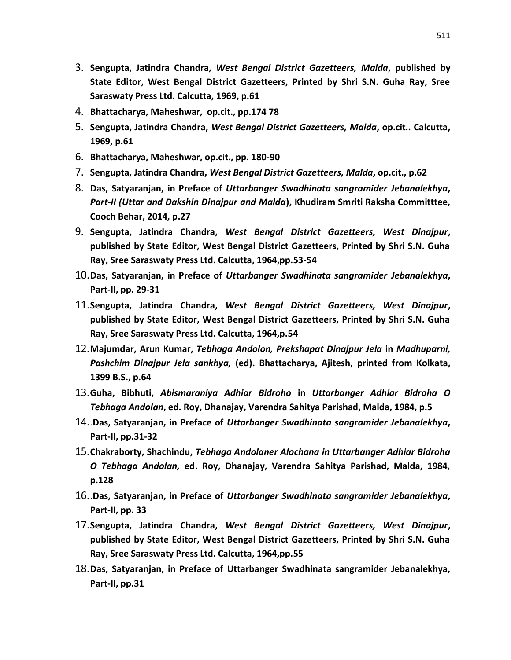- 3. **Sengupta, Jatindra Chandra,** *West Bengal District Gazetteers, Malda***, published by State Editor, West Bengal District Gazetteers, Printed by Shri S.N. Guha Ray, Sree Saraswaty Press Ltd. Calcutta, 1969, p.61**
- 4. **Bhattacharya, Maheshwar, op.cit., pp.174 78**
- 5. **Sengupta, Jatindra Chandra,** *West Bengal District Gazetteers, Malda***, op.cit.. Calcutta, 1969, p.61**
- 6. **Bhattacharya, Maheshwar, op.cit., pp. 180-90**
- 7. **Sengupta, Jatindra Chandra,** *West Bengal District Gazetteers, Malda***, op.cit., p.62**
- 8. **Das, Satyaranjan, in Preface of** *Uttarbanger Swadhinata sangramider Jebanalekhya***,**  *Part-II (Uttar and Dakshin Dinajpur and Malda***), Khudiram Smriti Raksha Committtee, Cooch Behar, 2014, p.27**
- 9. **Sengupta, Jatindra Chandra,** *West Bengal District Gazetteers, West Dinajpur***, published by State Editor, West Bengal District Gazetteers, Printed by Shri S.N. Guha Ray, Sree Saraswaty Press Ltd. Calcutta, 1964,pp.53-54**
- 10.**Das, Satyaranjan, in Preface of** *Uttarbanger Swadhinata sangramider Jebanalekhya***, Part-II, pp. 29-31**
- 11.**Sengupta, Jatindra Chandra,** *West Bengal District Gazetteers, West Dinajpur***, published by State Editor, West Bengal District Gazetteers, Printed by Shri S.N. Guha Ray, Sree Saraswaty Press Ltd. Calcutta, 1964,p.54**
- 12.**Majumdar, Arun Kumar,** *Tebhaga Andolon, Prekshapat Dinajpur Jela* **in** *Madhuparni, Pashchim Dinajpur Jela sankhya,* **(ed). Bhattacharya, Ajitesh, printed from Kolkata, 1399 B.S., p.64**
- 13.**Guha, Bibhuti,** *Abismaraniya Adhiar Bidroho* **in** *Uttarbanger Adhiar Bidroha O Tebhaga Andolan***, ed. Roy, Dhanajay, Varendra Sahitya Parishad, Malda, 1984, p.5**
- 14..**Das, Satyaranjan, in Preface of** *Uttarbanger Swadhinata sangramider Jebanalekhya***, Part-II, pp.31-32**
- 15.**Chakraborty, Shachindu,** *Tebhaga Andolaner Alochana in Uttarbanger Adhiar Bidroha O Tebhaga Andolan,* **ed. Roy, Dhanajay, Varendra Sahitya Parishad, Malda, 1984, p.128**
- 16..**Das, Satyaranjan, in Preface of** *Uttarbanger Swadhinata sangramider Jebanalekhya***, Part-II, pp. 33**
- 17.**Sengupta, Jatindra Chandra,** *West Bengal District Gazetteers, West Dinajpur***, published by State Editor, West Bengal District Gazetteers, Printed by Shri S.N. Guha Ray, Sree Saraswaty Press Ltd. Calcutta, 1964,pp.55**
- 18.**Das, Satyaranjan, in Preface of Uttarbanger Swadhinata sangramider Jebanalekhya, Part-II, pp.31**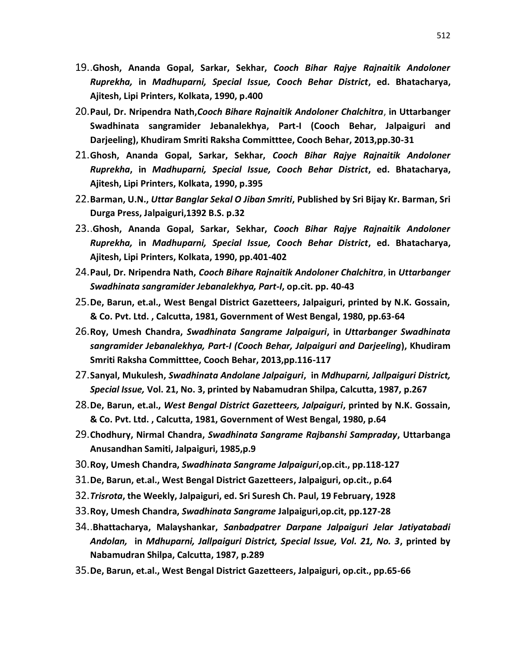- 19..**Ghosh, Ananda Gopal, Sarkar, Sekhar,** *Cooch Bihar Rajye Rajnaitik Andoloner Ruprekha,* **in** *Madhuparni, Special Issue, Cooch Behar District***, ed. Bhatacharya, Ajitesh, Lipi Printers, Kolkata, 1990, p.400**
- 20.**Paul, Dr. Nripendra Nath,***Cooch Bihare Rajnaitik Andoloner Chalchitra*, **in Uttarbanger Swadhinata sangramider Jebanalekhya, Part-I (Cooch Behar, Jalpaiguri and Darjeeling), Khudiram Smriti Raksha Committtee, Cooch Behar, 2013,pp.30-31**
- 21.**Ghosh, Ananda Gopal, Sarkar, Sekhar,** *Cooch Bihar Rajye Rajnaitik Andoloner Ruprekha***, in** *Madhuparni, Special Issue, Cooch Behar District***, ed. Bhatacharya, Ajitesh, Lipi Printers, Kolkata, 1990, p.395**
- 22.**Barman, U.N.,** *Uttar Banglar Sekal O Jiban Smriti***, Published by Sri Bijay Kr. Barman, Sri Durga Press, Jalpaiguri,1392 B.S. p.32**
- 23..**Ghosh, Ananda Gopal, Sarkar, Sekhar,** *Cooch Bihar Rajye Rajnaitik Andoloner Ruprekha,* **in** *Madhuparni, Special Issue, Cooch Behar District***, ed. Bhatacharya, Ajitesh, Lipi Printers, Kolkata, 1990, pp.401-402**
- 24.**Paul, Dr. Nripendra Nath,** *Cooch Bihare Rajnaitik Andoloner Chalchitra*, **in** *Uttarbanger Swadhinata sangramider Jebanalekhya, Part-I***, op.cit. pp. 40-43**
- 25.**De, Barun, et.al., West Bengal District Gazetteers, Jalpaiguri, printed by N.K. Gossain, & Co. Pvt. Ltd. , Calcutta, 1981, Government of West Bengal, 1980, pp.63-64**
- 26.**Roy, Umesh Chandra,** *Swadhinata Sangrame Jalpaiguri***, in** *Uttarbanger Swadhinata sangramider Jebanalekhya, Part-I (Cooch Behar, Jalpaiguri and Darjeeling***), Khudiram Smriti Raksha Committtee, Cooch Behar, 2013,pp.116-117**
- 27.**Sanyal, Mukulesh,** *Swadhinata Andolane Jalpaiguri***, in** *Mdhuparni, Jallpaiguri District, Special Issue,* **Vol. 21, No. 3, printed by Nabamudran Shilpa, Calcutta, 1987, p.267**
- 28.**De, Barun, et.al.,** *West Bengal District Gazetteers, Jalpaiguri***, printed by N.K. Gossain, & Co. Pvt. Ltd. , Calcutta, 1981, Government of West Bengal, 1980, p.64**
- 29.**Chodhury, Nirmal Chandra,** *Swadhinata Sangrame Rajbanshi Sampraday***, Uttarbanga Anusandhan Samiti, Jalpaiguri, 1985,p.9**
- 30.**Roy, Umesh Chandra,** *Swadhinata Sangrame Jalpaiguri***,op.cit., pp.118-127**
- 31.**De, Barun, et.al., West Bengal District Gazetteers, Jalpaiguri, op.cit., p.64**
- 32.*Trisrota***, the Weekly, Jalpaiguri, ed. Sri Suresh Ch. Paul, 19 February, 1928**
- 33.**Roy, Umesh Chandra,** *Swadhinata Sangrame* **Jalpaiguri,op.cit, pp.127-28**
- 34..**Bhattacharya, Malayshankar,** *Sanbadpatrer Darpane Jalpaiguri Jelar Jatiyatabadi Andolan,* **in** *Mdhuparni, Jallpaiguri District, Special Issue, Vol. 21, No. 3***, printed by Nabamudran Shilpa, Calcutta, 1987, p.289**
- 35.**De, Barun, et.al., West Bengal District Gazetteers, Jalpaiguri, op.cit., pp.65-66**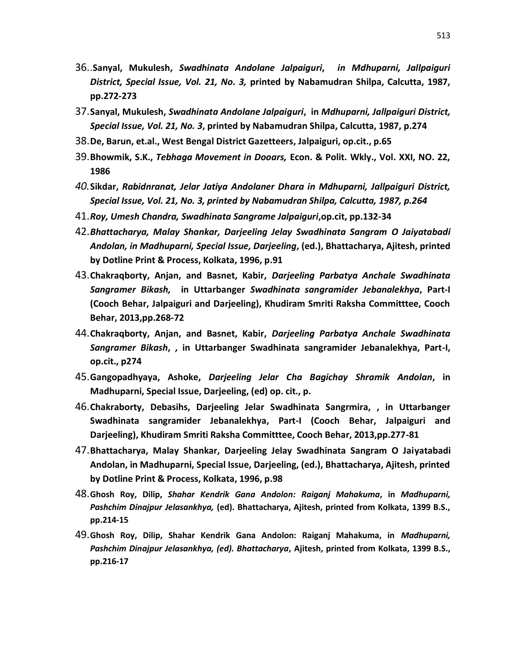- 36..**Sanyal, Mukulesh,** *Swadhinata Andolane Jalpaiguri***,** *in Mdhuparni, Jallpaiguri District, Special Issue, Vol. 21, No. 3,* **printed by Nabamudran Shilpa, Calcutta, 1987, pp.272-273**
- 37.**Sanyal, Mukulesh,** *Swadhinata Andolane Jalpaiguri***, in** *Mdhuparni, Jallpaiguri District, Special Issue, Vol. 21, No. 3***, printed by Nabamudran Shilpa, Calcutta, 1987, p.274**
- 38.**De, Barun, et.al., West Bengal District Gazetteers, Jalpaiguri, op.cit., p.65**
- 39.**Bhowmik, S.K.,** *Tebhaga Movement in Dooars,* **Econ. & Polit. Wkly., Vol. XXI, NO. 22, 1986**
- *40.***Sikdar,** *Rabidnranat, Jelar Jatiya Andolaner Dhara in Mdhuparni, Jallpaiguri District, Special Issue, Vol. 21, No. 3, printed by Nabamudran Shilpa, Calcutta, 1987, p.264*
- 41.*Roy, Umesh Chandra, Swadhinata Sangrame Jalpaiguri***,op.cit, pp.132-34**
- 42.*Bhattacharya, Malay Shankar, Darjeeling Jelay Swadhinata Sangram O Jaiyatabadi Andolan, in Madhuparni, Special Issue, Darjeeling***, (ed.), Bhattacharya, Ajitesh, printed by Dotline Print & Process, Kolkata, 1996, p.91**
- 43.**Chakraqborty, Anjan, and Basnet, Kabir,** *Darjeeling Parbatya Anchale Swadhinata Sangramer Bikash,* **in Uttarbanger** *Swadhinata sangramider Jebanalekhya***, Part-I (Cooch Behar, Jalpaiguri and Darjeeling), Khudiram Smriti Raksha Committtee, Cooch Behar, 2013,pp.268-72**
- 44.**Chakraqborty, Anjan, and Basnet, Kabir,** *Darjeeling Parbatya Anchale Swadhinata Sangramer Bikash***, , in Uttarbanger Swadhinata sangramider Jebanalekhya, Part-I, op.cit., p274**
- 45.**Gangopadhyaya, Ashoke,** *Darjeeling Jelar Cha Bagichay Shramik Andolan***, in Madhuparni, Special Issue, Darjeeling, (ed) op. cit., p.**
- 46.**Chakraborty, Debasihs, Darjeeling Jelar Swadhinata Sangrmira, , in Uttarbanger Swadhinata sangramider Jebanalekhya, Part-I (Cooch Behar, Jalpaiguri and Darjeeling), Khudiram Smriti Raksha Committtee, Cooch Behar, 2013,pp.277-81**
- 47.**Bhattacharya, Malay Shankar, Darjeeling Jelay Swadhinata Sangram O Jaiyatabadi Andolan, in Madhuparni, Special Issue, Darjeeling, (ed.), Bhattacharya, Ajitesh, printed by Dotline Print & Process, Kolkata, 1996, p.98**
- 48.**Ghosh Roy, Dilip,** *Shahar Kendrik Gana Andolon: Raiganj Mahakuma***, in** *Madhuparni, Pashchim Dinajpur Jelasankhya,* **(ed). Bhattacharya, Ajitesh, printed from Kolkata, 1399 B.S., pp.214-15**
- 49.**Ghosh Roy, Dilip, Shahar Kendrik Gana Andolon: Raiganj Mahakuma, in** *Madhuparni, Pashchim Dinajpur Jelasankhya, (ed). Bhattacharya***, Ajitesh, printed from Kolkata, 1399 B.S., pp.216-17**